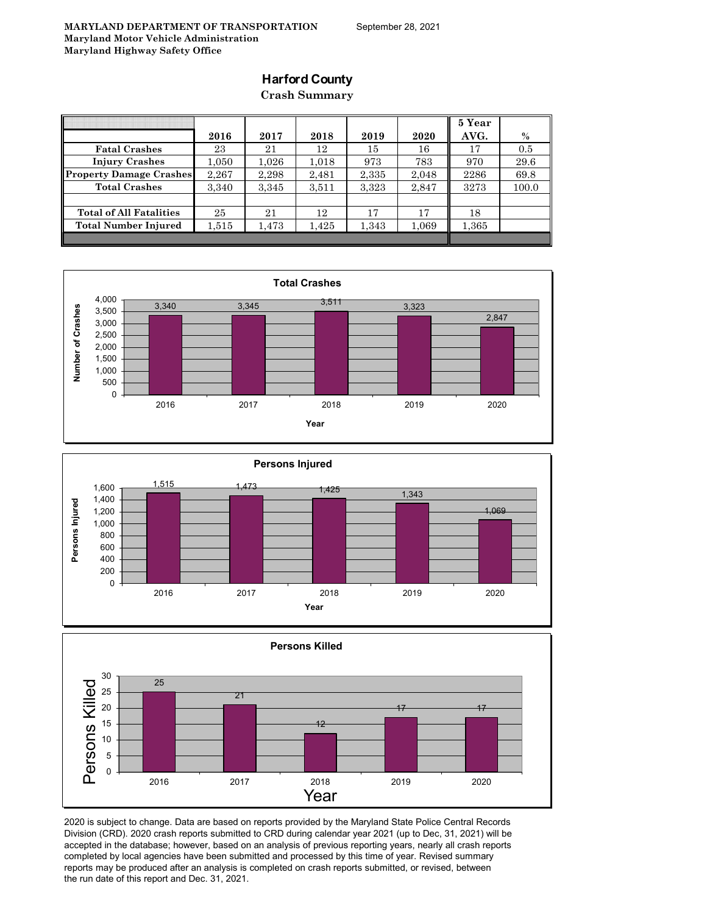### **Harford County**

**Crash Summary**

|                                |       |           |       |       |       | 5 Year |       |
|--------------------------------|-------|-----------|-------|-------|-------|--------|-------|
|                                | 2016  | 2017      | 2018  | 2019  | 2020  | AVG.   | $\%$  |
| <b>Fatal Crashes</b>           | 23    | 21        | 12    | 15    | 16    | 17     | 0.5   |
| <b>Injury Crashes</b>          | 1,050 | $1.026\,$ | 1,018 | 973   | 783   | 970    | 29.6  |
| <b>Property Damage Crashes</b> | 2,267 | 2.298     | 2,481 | 2,335 | 2,048 | 2286   | 69.8  |
| <b>Total Crashes</b>           | 3,340 | 3,345     | 3,511 | 3,323 | 2,847 | 3273   | 100.0 |
|                                |       |           |       |       |       |        |       |
| <b>Total of All Fatalities</b> | 25    | 21        | 12    | 17    | 17    | 18     |       |
| <b>Total Number Injured</b>    | 1,515 | 1,473     | 1,425 | 1,343 | 1,069 | 1,365  |       |
|                                |       |           |       |       |       |        |       |







2020 is subject to change. Data are based on reports provided by the Maryland State Police Central Records Division (CRD). 2020 crash reports submitted to CRD during calendar year 2021 (up to Dec, 31, 2021) will be accepted in the database; however, based on an analysis of previous reporting years, nearly all crash reports completed by local agencies have been submitted and processed by this time of year. Revised summary reports may be produced after an analysis is completed on crash reports submitted, or revised, between the run date of this report and Dec. 31, 2021.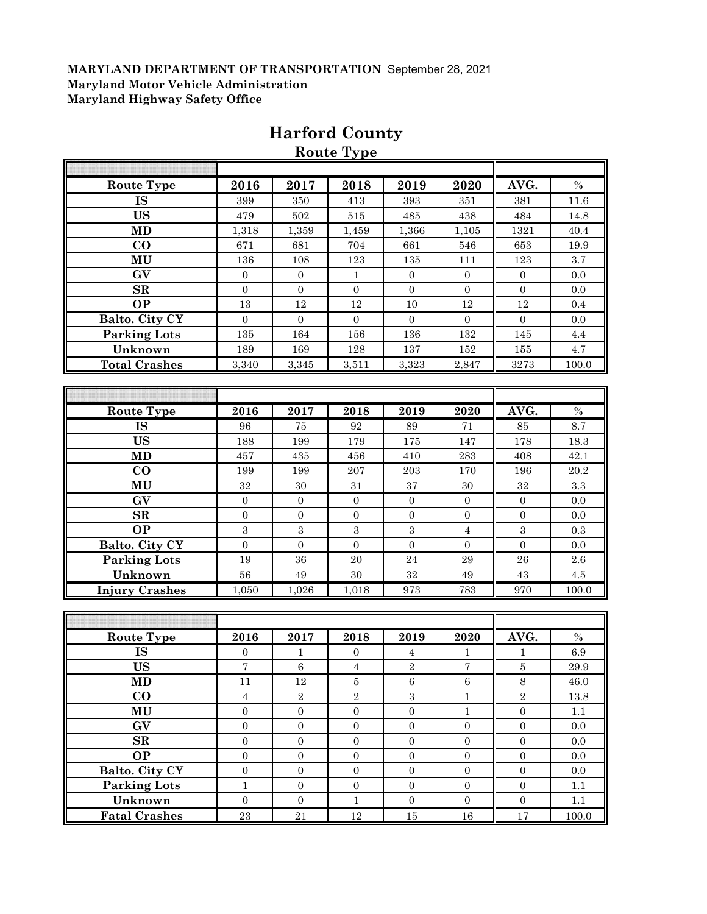| <b>Route Type</b>     | 2016             | 2017             | 2018             | 2019             | 2020             | AVG.             | $\%$     |
|-----------------------|------------------|------------------|------------------|------------------|------------------|------------------|----------|
| <b>IS</b>             | 399              | 350              | 413              | 393              | 351              | 381              | 11.6     |
| <b>US</b>             | 479              | 502              | 515              | 485              | 438              | 484              | 14.8     |
| <b>MD</b>             | 1,318            | 1,359            | 1,459            | 1,366            | 1,105            | 1321             | 40.4     |
| $\bf{CO}$             | 671              | 681              | 704              | 661              | 546              | 653              | 19.9     |
| MU                    | 136              | 108              | 123              | 135              | 111              | 123              | 3.7      |
| GV                    | $\overline{0}$   | $\mathbf{0}$     | $\mathbf{1}$     | $\overline{0}$   | $\boldsymbol{0}$ | $\boldsymbol{0}$ | 0.0      |
| $\mathbf{SR}$         | $\overline{0}$   | $\mathbf{0}$     | $\boldsymbol{0}$ | $\boldsymbol{0}$ | $\overline{0}$   | $\boldsymbol{0}$ | 0.0      |
| <b>OP</b>             | 13               | 12               | 12               | 10               | 12               | 12               | 0.4      |
| Balto. City CY        | $\overline{0}$   | $\mathbf{0}$     | $\boldsymbol{0}$ | $\overline{0}$   | $\overline{0}$   | $\mathbf{0}$     | 0.0      |
| <b>Parking Lots</b>   | 135              | 164              | 156              | 136              | 132              | 145              | $4.4\,$  |
| Unknown               | 189              | 169              | 128              | 137              | 152              | 155              | 4.7      |
| <b>Total Crashes</b>  | 3,340            | 3,345            | 3,511            | 3,323            | 2,847            | 3273             | 100.0    |
|                       |                  |                  |                  |                  |                  |                  |          |
|                       |                  |                  |                  |                  |                  |                  |          |
| <b>Route Type</b>     | 2016             | 2017             | 2018             | 2019             | 2020             | AVG.             | $\%$     |
| <b>IS</b>             | 96               | 75               | 92               | 89               | 71               | 85               | 8.7      |
| <b>US</b>             | 188              | 199              | 179              | 175              | 147              | 178              | 18.3     |
| <b>MD</b>             | 457              | 435              | 456              | 410              | 283              | 408              | 42.1     |
| $\bf CO$              | 199              | 199              | 207              | 203              | 170              | 196              | 20.2     |
| MU                    | 32               | 30               | 31               | 37               | 30               | 32               | 3.3      |
| GV                    | $\overline{0}$   | $\boldsymbol{0}$ | $\boldsymbol{0}$ | $\boldsymbol{0}$ | $\mathbf{0}$     | $\mathbf{0}$     | 0.0      |
| SR                    | $\boldsymbol{0}$ | $\boldsymbol{0}$ | $\boldsymbol{0}$ | $\boldsymbol{0}$ | $\boldsymbol{0}$ | $\mathbf{0}$     | 0.0      |
| <b>OP</b>             | 3                | $\sqrt{3}$       | $\sqrt{3}$       | 3                | $\overline{4}$   | $\sqrt{3}$       | 0.3      |
| Balto. City CY        | $\overline{0}$   | $\overline{0}$   | $\overline{0}$   | $\overline{0}$   | $\overline{0}$   | $\overline{0}$   | 0.0      |
| <b>Parking Lots</b>   | 19               | 36               | 20               | 24               | 29               | 26               | 2.6      |
| Unknown               | 56               | 49               | 30               | 32               | 49               | 43               | 4.5      |
| <b>Injury Crashes</b> | 1,050            | 1,026            | 1,018            | 973              | 783              | 970              | 100.0    |
|                       |                  |                  |                  |                  |                  |                  |          |
|                       |                  |                  |                  |                  |                  |                  |          |
| <b>Route Type</b>     | 2016             | 2017             | 2018             | 2019             | 2020             | AVG.             | $\%$     |
| <b>IS</b>             | $\overline{0}$   | 1                | $\boldsymbol{0}$ | $\overline{4}$   | 1                | 1                | 6.9      |
| <b>US</b>             | $\overline{7}$   | $\,6\,$          | $\sqrt{4}$       | $\overline{2}$   | $\overline{7}$   | $\bf 5$          | 29.9     |
| <b>MD</b>             | 11               | $12\,$           | $\bf 5$          | $\,6\,$          | $\,6\,$          | $8\,$            | 46.0     |
| $\bf CO$              | $\overline{4}$   | $\sqrt{2}$       | $\overline{2}$   | 3                | $\mathbf{1}$     | $\overline{2}$   | $13.8\,$ |
| MU                    | $\overline{0}$   | $\boldsymbol{0}$ | $\boldsymbol{0}$ | $\boldsymbol{0}$ | $\mathbf 1$      | $\boldsymbol{0}$ | 1.1      |
| GV                    | $\boldsymbol{0}$ | $\boldsymbol{0}$ | $\boldsymbol{0}$ | $\boldsymbol{0}$ | $\boldsymbol{0}$ | $\boldsymbol{0}$ | $0.0\,$  |
| SR                    | $\boldsymbol{0}$ | $\boldsymbol{0}$ | $\boldsymbol{0}$ | $\boldsymbol{0}$ | $\boldsymbol{0}$ | $\boldsymbol{0}$ | $0.0\,$  |
| <b>OP</b>             | $\boldsymbol{0}$ | $\boldsymbol{0}$ | $\boldsymbol{0}$ | $\boldsymbol{0}$ | $\boldsymbol{0}$ | $\boldsymbol{0}$ | $0.0\,$  |
| Balto. City CY        | $\boldsymbol{0}$ | $\boldsymbol{0}$ | $\boldsymbol{0}$ | $\overline{0}$   | $\mathbf{0}$     | $\overline{0}$   | $0.0\,$  |
| Parking Lots          | $\mathbf 1$      | $\boldsymbol{0}$ | $\boldsymbol{0}$ | $\overline{0}$   | $\boldsymbol{0}$ | $\boldsymbol{0}$ | 1.1      |
| Unknown               | $\boldsymbol{0}$ | $\boldsymbol{0}$ | $\mathbf{1}$     | $\boldsymbol{0}$ | $\mathbf{0}$     | $\boldsymbol{0}$ | $1.1\,$  |
| <b>Fatal Crashes</b>  | $\bf 23$         | $21\,$           | $12\,$           | $15\,$           | $16\,$           | $17\,$           | 100.0    |

## **Harford County Route Type**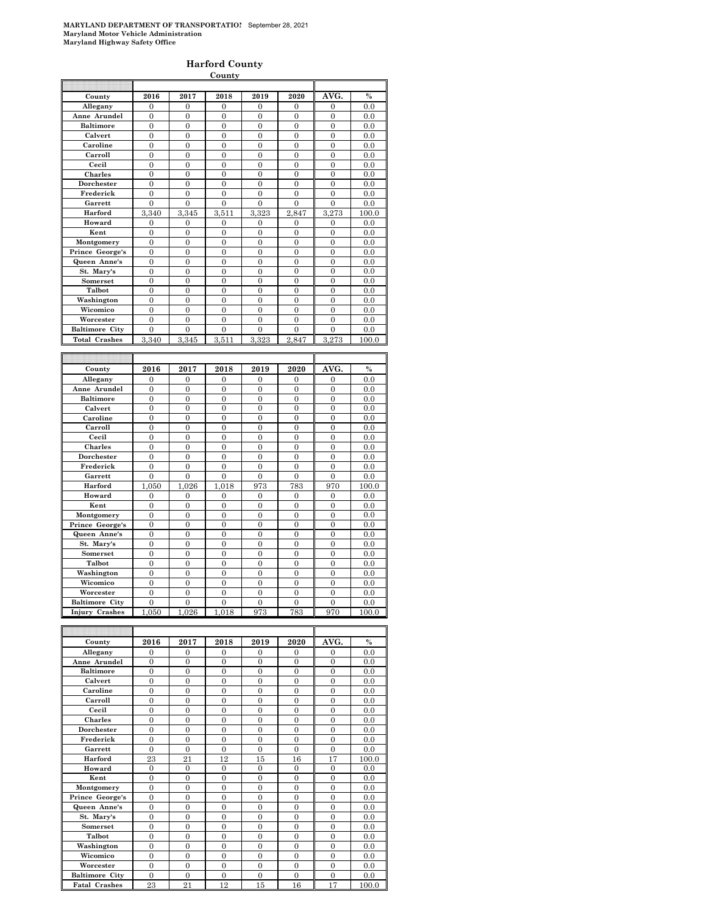#### **Harford County**

|                       |                       |                       | County           |                  |                       |                       |                |
|-----------------------|-----------------------|-----------------------|------------------|------------------|-----------------------|-----------------------|----------------|
|                       |                       |                       |                  |                  |                       |                       |                |
| County                | 2016                  | 2017                  | 2018             | 2019             | 2020                  | AVG.                  | $\frac{0}{0}$  |
| Allegany              | 0                     | $\mathbf{0}$          | $\mathbf{0}$     | $\mathbf{0}$     | $\mathbf{0}$          | $\mathbf{0}$          | 0.0            |
| Anne Arundel          | $\boldsymbol{0}$      | $\boldsymbol{0}$      | $\mathbf{0}$     | $\boldsymbol{0}$ | $\boldsymbol{0}$      | $\boldsymbol{0}$      | 0.0            |
| <b>Baltimore</b>      | $\boldsymbol{0}$      | $\boldsymbol{0}$      | $\overline{0}$   | $\mathbf{0}$     | $\overline{0}$        | $\overline{0}$        | 0.0            |
| Calvert               | 0                     | $\overline{0}$        | $\mathbf{0}$     | 0                | 0                     | $\mathbf{0}$          | 0.0            |
| Caroline              | $\boldsymbol{0}$      | $\boldsymbol{0}$      | $\mathbf{0}$     | 0                | $\boldsymbol{0}$      | $\boldsymbol{0}$      | 0.0            |
| Carroll               | $\overline{0}$        | $\overline{0}$        | $\overline{0}$   | $\overline{0}$   | $\overline{0}$        | $\overline{0}$        | 0.0            |
| Cecil                 | $\boldsymbol{0}$      | $\boldsymbol{0}$      | $\mathbf{0}$     | 0                | $\boldsymbol{0}$      | $\boldsymbol{0}$      | 0.0            |
| Charles               | $\mathbf{0}$          | $\mathbf{0}$          | $\overline{0}$   | $\mathbf{0}$     | $\overline{0}$        | $\overline{0}$        | 0.0            |
| Dorchester            | 0                     | $\overline{0}$        | $\mathbf{0}$     | $\overline{0}$   | $\mathbf{0}$          | $\mathbf{0}$          | 0.0            |
| Frederick             | 0                     | 0                     | 0                | 0                | 0                     | 0                     | 0.0            |
| Garrett               | $\overline{0}$        | $\overline{0}$        | $\overline{0}$   | $\overline{0}$   | $\Omega$              | $\theta$              | 0.0            |
| Harford               | 3,340                 | 3,345                 | 3,511            | 3,323            | 2,847                 | 3,273                 | 100.0          |
| Howard                |                       |                       |                  |                  |                       |                       |                |
|                       | 0                     | $\overline{0}$        | $\overline{0}$   | 0                | $\overline{0}$        | $\mathbf{0}$          | 0.0            |
| Kent                  | 0                     | $\overline{0}$        | $\mathbf{0}$     | 0                | 0                     | $\mathbf{0}$          | 0.0            |
| Montgomery            | 0                     | $\boldsymbol{0}$      | $\boldsymbol{0}$ | 0                | 0                     | $\boldsymbol{0}$      | 0.0            |
| Prince George's       | $\overline{0}$        | $\overline{0}$        | $\overline{0}$   | $\overline{0}$   | $\overline{0}$        | $\overline{0}$        | 0.0            |
| Queen Anne's          | $\boldsymbol{0}$      | $\boldsymbol{0}$      | $\mathbf{0}$     | $\boldsymbol{0}$ | $\boldsymbol{0}$      | $\boldsymbol{0}$      | 0.0            |
| St. Mary's            | $\mathbf{0}$          | $\boldsymbol{0}$      | $\overline{0}$   | $\mathbf{0}$     | $\overline{0}$        | $\overline{0}$        | 0.0            |
| Somerset              | 0                     | $\overline{0}$        | $\mathbf{0}$     | $\overline{0}$   | $\mathbf{0}$          | $\mathbf{0}$          | 0.0            |
| Talbot                | $\boldsymbol{0}$      | $\boldsymbol{0}$      | $\bf{0}$         | 0                | 0                     | 0                     | 0.0            |
| Washington            | $\overline{0}$        | $\overline{0}$        | $\overline{0}$   | $\overline{0}$   | $\overline{0}$        | $\overline{0}$        | 0.0            |
| Wicomico              | $\boldsymbol{0}$      | $\boldsymbol{0}$      | $\mathbf{0}$     | $\boldsymbol{0}$ | $\boldsymbol{0}$      | $\boldsymbol{0}$      | 0.0            |
| Worcester             | $\boldsymbol{0}$      | $\mathbf{0}$          | $\overline{0}$   | $\mathbf{0}$     | $\overline{0}$        | $\overline{0}$        | 0.0            |
| <b>Baltimore City</b> | $\mathbf{0}$          | $\overline{0}$        | $\mathbf{0}$     | 0                | 0                     | $\mathbf{0}$          | 0.0            |
| <b>Total Crashes</b>  | 3,340                 | 3,345                 | 3,511            | 3,323            | 2,847                 | 3,273                 | 100.0          |
|                       |                       |                       |                  |                  |                       |                       |                |
|                       |                       |                       |                  |                  |                       |                       |                |
| County                | 2016                  | 2017                  | 2018             | 2019             | 2020                  | AVG.                  | $\frac{0}{0}$  |
| Allegany              | 0                     | $\boldsymbol{0}$      | $\boldsymbol{0}$ | 0                | $\boldsymbol{0}$      | $\boldsymbol{0}$      | 0.0            |
| Anne Arundel          | 0                     | 0                     | $\overline{0}$   | 0                | $\mathbf{0}$          | $\overline{0}$        | 0.0            |
| <b>Baltimore</b>      | 0                     | $\overline{0}$        | $\mathbf{0}$     | $\overline{0}$   | 0                     | $\mathbf{0}$          | 0.0            |
| Calvert               | $\boldsymbol{0}$      | $\boldsymbol{0}$      | $\boldsymbol{0}$ | 0                | $\boldsymbol{0}$      | $\boldsymbol{0}$      | 0.0            |
| Caroline              | $\overline{0}$        | $\overline{0}$        | $\overline{0}$   | $\overline{0}$   | $\overline{0}$        | $\overline{0}$        | 0.0            |
|                       |                       |                       |                  |                  |                       |                       |                |
|                       |                       |                       |                  |                  |                       |                       |                |
| Carroll               | $\boldsymbol{0}$      | $\boldsymbol{0}$      | $\mathbf{0}$     | $\boldsymbol{0}$ | $\boldsymbol{0}$      | $\boldsymbol{0}$      | 0.0            |
| Cecil                 | $\mathbf{0}$          | $\mathbf{0}$          | $\overline{0}$   | $\mathbf{0}$     | $\overline{0}$        | $\overline{0}$        | 0.0            |
| Charles               | 0                     | $\overline{0}$        | $\mathbf{0}$     | 0                | $\mathbf{0}$          | $\mathbf{0}$          | 0.0            |
| Dorchester            | $\boldsymbol{0}$      | $\boldsymbol{0}$      | $\bf{0}$         | 0                | 0                     | 0                     | 0.0            |
| Frederick             | $\overline{0}$        | $\overline{0}$        | $\overline{0}$   | $\overline{0}$   | 0                     | $\overline{0}$        | 0.0            |
| Garrett               | $\boldsymbol{0}$      | $\boldsymbol{0}$      | $\mathbf{0}$     | $\boldsymbol{0}$ | $\boldsymbol{0}$      | $\boldsymbol{0}$      | 0.0            |
| Harford               | 050<br>1              | 026<br>1              | 018<br>1         | 973              | 783                   | 970                   | 100.0          |
| Howard                | 0                     | $\overline{0}$        | 0                | 0                | 0                     | $\mathbf{0}$          | 0.0            |
| Kent                  | 0                     | $\boldsymbol{0}$      | $\mathbf{0}$     | 0                | 0                     | 0                     | 0.0            |
| Montgomery            | $\overline{0}$        | $\overline{0}$        | $\overline{0}$   | $\overline{0}$   | $\overline{0}$        | $\overline{0}$        | 0.0            |
| Prince George's       | $\boldsymbol{0}$      | $\boldsymbol{0}$      | $\mathbf{0}$     | $\boldsymbol{0}$ | $\boldsymbol{0}$      | $\boldsymbol{0}$      | 0.0            |
| Queen Anne's          | $\mathbf{0}$          | $\mathbf{0}$          | $\overline{0}$   | $\mathbf{0}$     | $\overline{0}$        | $\boldsymbol{0}$      | 0.0            |
| St. Mary's            | 0                     | $\overline{0}$        | $\mathbf{0}$     | 0                | $\mathbf{0}$          | $\mathbf{0}$          | 0.0            |
| Somerset              | $\boldsymbol{0}$      | $\boldsymbol{0}$      | $\bf{0}$         | 0                | 0                     | 0                     | 0.0            |
| Talbot                | $\overline{0}$        | $\overline{0}$        | $\overline{0}$   | $\overline{0}$   | $\overline{0}$        | $\overline{0}$        | 0.0            |
| Washington            | $\boldsymbol{0}$      | $\mathbf{0}$          | $\mathbf{0}$     | 0                | $\mathbf{0}$          | $\boldsymbol{0}$      | 0.0            |
| Wicomico              | $\mathbf{0}$          | $\boldsymbol{0}$      | $\mathbf{0}$     | $\mathbf{0}$     | $\mathbf{0}$          | $\boldsymbol{0}$      | 0.0            |
|                       | 0                     | 0                     | 0                | 0                | 0                     | 0                     |                |
| Worcester             |                       |                       |                  |                  |                       |                       | $_{0.0}$       |
| <b>Baltimore City</b> | 0<br>1                | $\boldsymbol{0}$      | 0                | 0                | $\boldsymbol{0}$      | 0                     | 0.0            |
| <b>Injury Crashes</b> | 050                   | 1,026                 | 1,018            | 973              | 783                   | 970                   | 100.0          |
|                       |                       |                       |                  |                  |                       |                       |                |
|                       |                       |                       |                  |                  |                       |                       |                |
| County                | 2016                  | 2017                  | 2018             | 2019             | 2020                  | AVG.                  | $\%$           |
| Allegany              | 0                     | $\boldsymbol{0}$      | 0                | 0                | 0                     | 0                     | 0.0            |
| Anne Arundel          | 0                     | 0                     | 0                | 0                | 0                     | 0                     | 0.0            |
| <b>Baltimore</b>      | 0                     | 0                     | 0                | 0                | 0                     | 0                     | $0.0\,$        |
| Calvert               | $\boldsymbol{0}$      | 0                     | $\boldsymbol{0}$ | 0                | 0                     | $\boldsymbol{0}$      | 0.0            |
| Caroline              | $\boldsymbol{0}$      | $\boldsymbol{0}$      | $\boldsymbol{0}$ | $\boldsymbol{0}$ | $\boldsymbol{0}$      | $\boldsymbol{0}$      | 0.0            |
| Carroll               | $\boldsymbol{0}$      | $\boldsymbol{0}$      | $\boldsymbol{0}$ | 0                | $\boldsymbol{0}$      | $\boldsymbol{0}$      | 0.0            |
| Cecil                 | 0                     | 0                     | 0                | 0                | 0                     | 0                     | $0.0\,$        |
| Charles<br>Dorchester | 0<br>$\boldsymbol{0}$ | 0<br>$\boldsymbol{0}$ | 0<br>0           | 0<br>0           | 0<br>$\boldsymbol{0}$ | 0<br>$\boldsymbol{0}$ | $0.0\,$<br>0.0 |

| .                     | v              | v              | v              | v              | v              | $\mathbf v$    | v.v   |
|-----------------------|----------------|----------------|----------------|----------------|----------------|----------------|-------|
| Caroline              | $\theta$       | $\Omega$       | $\Omega$       | $\Omega$       | $\Omega$       | $\theta$       | 0.0   |
| Carroll               | $\theta$       | $\Omega$       | $\Omega$       | $\Omega$       | $\Omega$       | $\overline{0}$ | 0.0   |
| Cecil                 | $\overline{0}$ | $\Omega$       | $\overline{0}$ | $\overline{0}$ | $\mathbf{0}$   | $\overline{0}$ | 0.0   |
| <b>Charles</b>        | $\theta$       | $\theta$       | $\theta$       | $\Omega$       | $\theta$       | $\theta$       | 0.0   |
| Dorchester            | $\overline{0}$ | $\mathbf{0}$   | $\overline{0}$ | $\overline{0}$ | $\overline{0}$ | $\overline{0}$ | 0.0   |
| Frederick             | $\overline{0}$ | $\overline{0}$ | $\overline{0}$ | $\overline{0}$ | $\overline{0}$ | $\overline{0}$ | 0.0   |
| Garrett               | $\theta$       | $\theta$       | $\Omega$       | $\theta$       | $\theta$       | $\overline{0}$ | 0.0   |
| Harford               | 23             | 21             | 12             | 15             | 16             | 17             | 100.0 |
| Howard                | $\theta$       | $\Omega$       | $\overline{0}$ | $\Omega$       | $\Omega$       | $\overline{0}$ | 0.0   |
| Kent                  | $\theta$       | $\Omega$       | $\Omega$       | $\Omega$       | $\Omega$       | $\overline{0}$ | 0.0   |
| Montgomery            | $\theta$       | $\mathbf{0}$   | $\overline{0}$ | $\overline{0}$ | $\overline{0}$ | $\overline{0}$ | 0.0   |
| Prince George's       | $\overline{0}$ | $\mathbf{0}$   | $\overline{0}$ | $\overline{0}$ | $\overline{0}$ | $\overline{0}$ | 0.0   |
| Queen Anne's          | $\overline{0}$ | $\Omega$       | $\overline{0}$ | $\Omega$       | $\Omega$       | $\overline{0}$ | 0.0   |
| St. Mary's            | $\theta$       | $\theta$       | $\theta$       | $\theta$       | $\Omega$       | $\theta$       | 0.0   |
| Somerset              | $\theta$       | $\Omega$       | $\overline{0}$ | $\Omega$       | $\theta$       | $\overline{0}$ | 0.0   |
| Talbot                | $\overline{0}$ | $\overline{0}$ | $\overline{0}$ | $\overline{0}$ | $\overline{0}$ | $\overline{0}$ | 0.0   |
| Washington            | $\theta$       | $\Omega$       | $\overline{0}$ | $\Omega$       | $\Omega$       | $\theta$       | 0.0   |
| Wicomico              | $\theta$       | $\Omega$       | $\overline{0}$ | $\Omega$       | $\Omega$       | $\overline{0}$ | 0.0   |
| Worcester             | $\overline{0}$ | $\overline{0}$ | $\overline{0}$ | $\overline{0}$ | $\overline{0}$ | $\overline{0}$ | 0.0   |
| <b>Baltimore City</b> | $\theta$       | $\overline{0}$ | $\overline{0}$ | $\overline{0}$ | $\overline{0}$ | $\overline{0}$ | 0.0   |

**Baltimore City** 0 0 0 0 0 0 0 0 0 0 0 0 0 0 0 **Fatal Crashes** 23 21 12 15 16 17 100.0

**Fatal Crashes** 23 21 12 15 16 17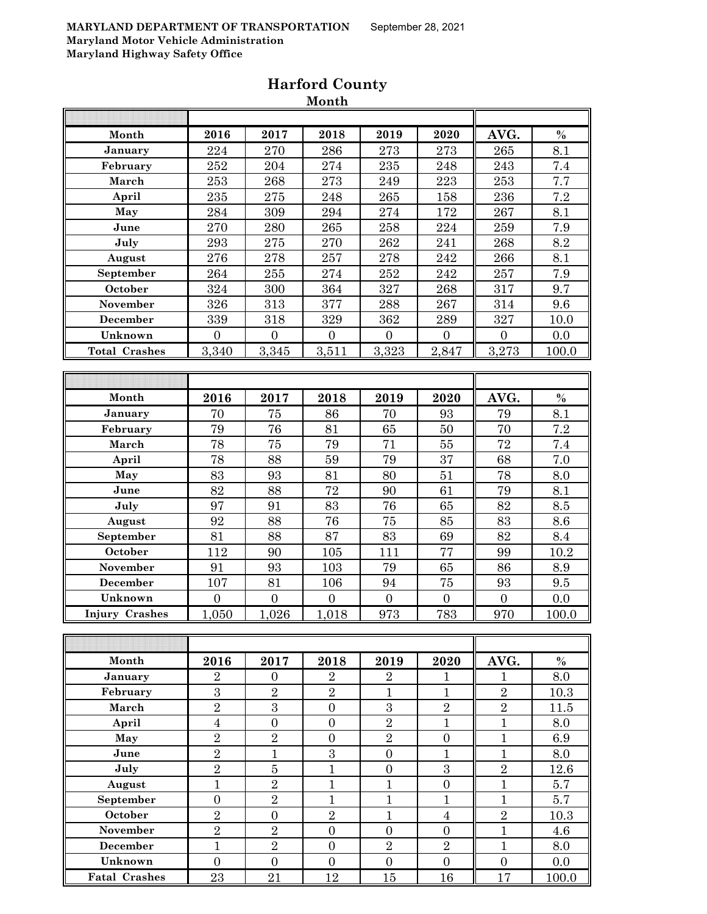| Month                 | 2016             | 2017             | 2018             | 2019             | 2020             | AVG.           | $\%$  |
|-----------------------|------------------|------------------|------------------|------------------|------------------|----------------|-------|
| January               | 224              | 270              | 286              | 273              | 273              | 265            | 8.1   |
| February              | 252              | 204              | $\bf 274$        | 235              | 248              | 243            | 7.4   |
| March                 | 253              | 268              | 273              | 249              | 223              | 253            | 7.7   |
| April                 | 235              | $275\,$          | 248              | 265              | 158              | 236            | 7.2   |
| May                   | 284              | 309              | 294              | 274              | 172              | 267            | 8.1   |
| June                  | 270              | 280              | 265              | 258              | 224              | 259            | 7.9   |
| July                  | 293              | 275              | 270              | 262              | 241              | 268            | 8.2   |
| August                | 276              | 278              | 257              | 278              | 242              | 266            | 8.1   |
| September             | 264              | 255              | 274              | 252              | 242              | 257            | 7.9   |
| October               | 324              | 300              | 364              | 327              | 268              | 317            | 9.7   |
| November              | 326              | 313              | 377              | 288              | 267              | 314            | 9.6   |
| December              | 339              | 318              | 329              | 362              | 289              | 327            | 10.0  |
| Unknown               | $\overline{0}$   | $\Omega$         | $\overline{0}$   | $\overline{0}$   | $\mathbf{0}$     | $\mathbf{0}$   | 0.0   |
| <b>Total Crashes</b>  | 3,340            | 3,345            | 3,511            | 3,323            | 2,847            | 3,273          | 100.0 |
|                       |                  |                  |                  |                  |                  |                |       |
|                       |                  |                  |                  |                  |                  |                |       |
| Month                 | 2016             | 2017             | 2018             | 2019             | 2020             | AVG.           | $\%$  |
| January               | 70               | 75               | 86               | 70               | 93               | 79             | 8.1   |
| February              | 79               | 76               | 81               | 65               | 50               | 70             | 7.2   |
| March                 | 78               | 75               | 79               | 71               | 55               | 72             | 7.4   |
| April                 | 78               | 88               | 59               | 79               | 37               | 68             | 7.0   |
| May                   | 83               | 93               | 81               | 80               | 51               | 78             | 8.0   |
| June                  | 82               | 88               | 72               | 90               | 61               | 79             | 8.1   |
| July                  | 97               | 91               | 83               | 76               | 65               | 82             | 8.5   |
| August                | 92               | 88               | 76               | 75               | 85               | 83             | 8.6   |
| September             | 81               | 88               | 87               | 83               | 69               | 82             | 8.4   |
| October               | 112              | 90               | 105              | 111              | 77               | 99             | 10.2  |
| November              | 91               | 93               | 103              | 79               | 65               | 86             | 8.9   |
| December              | 107              | 81               | 106              | 94               | 75               | 93             | 9.5   |
| Unknown               | $\overline{0}$   | $\boldsymbol{0}$ | $\boldsymbol{0}$ | $\overline{0}$   | $\overline{0}$   | $\overline{0}$ | 0.0   |
| <b>Injury Crashes</b> | 1,050            | 1,026            | 1,018            | 973              | 783              | 970            | 100.0 |
|                       |                  |                  |                  |                  |                  |                |       |
|                       |                  |                  |                  |                  |                  |                |       |
| Month                 | 2016             | 2017             | 2018             | 2019             | 2020             | AVG.           | $\%$  |
| <b>January</b>        | $\overline{2}$   | $\boldsymbol{0}$ | $\overline{2}$   | $\overline{2}$   | $\mathbf{1}$     | $\mathbf 1$    | 8.0   |
| February              | 3                | $\overline{2}$   | $\overline{2}$   | $\mathbf{1}$     | $\mathbf{1}$     | $\overline{2}$ | 10.3  |
| March                 | $\overline{2}$   | 3                | $\boldsymbol{0}$ | $\sqrt{3}$       | $\sqrt{2}$       | $\overline{2}$ | 11.5  |
| April                 | $\overline{4}$   | $\boldsymbol{0}$ | $\boldsymbol{0}$ | $\overline{2}$   | $\mathbf{1}$     | $\mathbf{1}$   | 8.0   |
| May                   | $\overline{2}$   | $\overline{2}$   | $\boldsymbol{0}$ | $\overline{2}$   | $\boldsymbol{0}$ | $\mathbf{1}$   | 6.9   |
| June                  | $\overline{2}$   | $\mathbf{1}$     | $\overline{3}$   | $\boldsymbol{0}$ | $\mathbf{1}$     | $\mathbf{1}$   | 8.0   |
| July                  | $\overline{2}$   | $\overline{5}$   | $\mathbf{1}$     | $\overline{0}$   | 3                | $\overline{2}$ | 12.6  |
| August                | $\overline{1}$   | $\sqrt{2}$       | $\mathbf{1}$     | $\overline{1}$   | $\boldsymbol{0}$ | $\mathbf{1}$   | 5.7   |
| September             | $\boldsymbol{0}$ | $\overline{2}$   | $\mathbf{1}$     | $\mathbf{1}$     | $\mathbf{1}$     | $\mathbf{1}$   | 5.7   |
| October               | $\overline{2}$   | $\boldsymbol{0}$ | $\overline{2}$   | $\mathbf{1}$     | $\overline{4}$   | $\overline{2}$ | 10.3  |
| November              | $\overline{2}$   | $\overline{2}$   | $\boldsymbol{0}$ | $\overline{0}$   | $\overline{0}$   | $\mathbf{1}$   | 4.6   |
| December              | $\mathbf{1}$     | $\sqrt{2}$       | $\boldsymbol{0}$ | $\sqrt{2}$       | $\,2$            | $\mathbf{1}$   | 8.0   |
| Unknown               | $\overline{0}$   | $\boldsymbol{0}$ | $\boldsymbol{0}$ | $\overline{0}$   | $\overline{0}$   | $\overline{0}$ | 0.0   |
| <b>Fatal Crashes</b>  | 23               | 21               | 12               | 15               | 16               | 17             | 100.0 |
|                       |                  |                  |                  |                  |                  |                |       |

## **Harford County Month**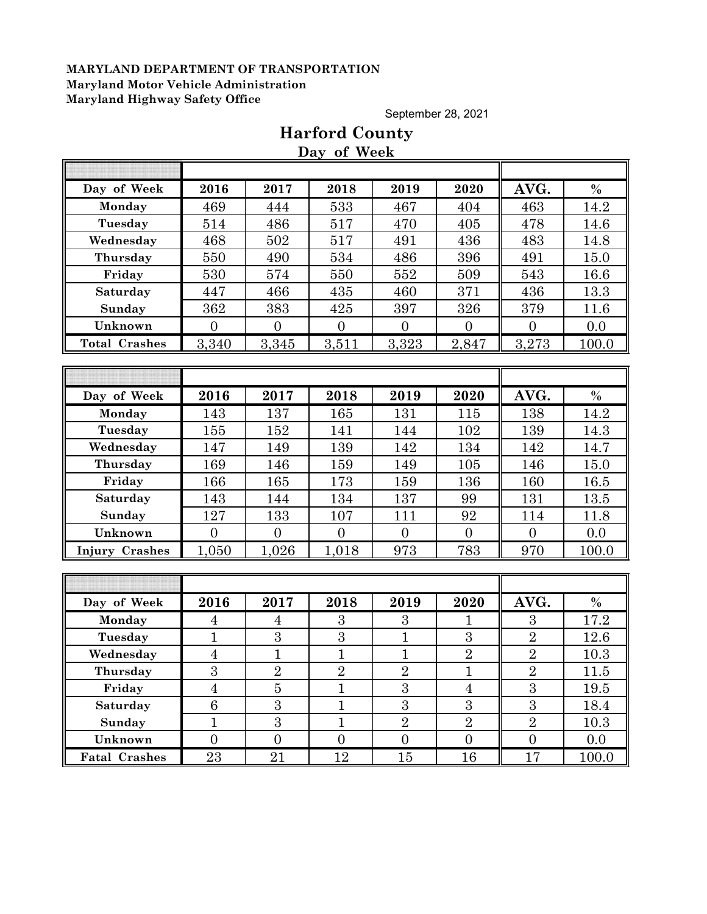September 28, 2021

|                       |                 |                  | Day of Week    |                |                |                |          |
|-----------------------|-----------------|------------------|----------------|----------------|----------------|----------------|----------|
|                       |                 |                  |                |                |                |                |          |
| Day of Week           | 2016            | 2017             | 2018           | 2019           | 2020           | AVG.           | $\%$     |
| Monday                | 469             | 444              | 533            | 467            | 404            | 463            | 14.2     |
| Tuesday               | 514             | 486              | 517            | 470            | 405            | 478            | 14.6     |
| Wednesday             | 468             | 502              | 517            | 491            | 436            | 483            | 14.8     |
| Thursday              | 550             | 490              | 534            | 486            | 396            | 491            | 15.0     |
| Friday                | 530             | 574              | 550            | 552            | 509            | 543            | 16.6     |
| Saturday              | 447             | 466              | 435            | 460            | 371            | 436            | 13.3     |
| Sunday                | 362             | 383              | 425            | 397            | 326            | 379            | 11.6     |
| Unknown               | $\overline{0}$  | $\overline{0}$   | $\overline{0}$ | $\overline{0}$ | $\overline{0}$ | $\overline{0}$ | 0.0      |
| <b>Total Crashes</b>  | 3,340           | 3,345            | 3,511          | 3,323          | 2,847          | 3,273          | 100.0    |
|                       |                 |                  |                |                |                |                |          |
|                       |                 |                  |                |                |                |                |          |
| Day of Week           | 2016            | 2017             | 2018           | 2019           | 2020           | AVG.           | $\%$     |
| Monday                | 143             | 137              | 165            | 131            | 115            | 138            | 14.2     |
| Tuesday               | 155             | 152              | 141            | 144            | 102            | 139            | 14.3     |
| Wednesday             | 147             | 149              | 139            | 142            | 134            | 142            | 14.7     |
| Thursday              | 169             | 146              | 159            | 149            | 105            | 146            | 15.0     |
| Friday                | 166             | 165              | 173            | 159            | 136            | 160            | 16.5     |
| Saturday              | 143             | 144              | 134            | 137            | 99             | 131            | 13.5     |
| Sunday                | 127             | 133              | 107            | 111            | 92             | 114            | 11.8     |
| Unknown               | $\overline{0}$  | $\overline{0}$   | $\overline{0}$ | $\overline{0}$ | $\theta$       | $\overline{0}$ | 0.0      |
| <b>Injury Crashes</b> | 1,050           | 1,026            | 1,018          | 973            | 783            | 970            | 100.0    |
|                       |                 |                  |                |                |                |                |          |
|                       |                 |                  |                |                |                |                |          |
| Day of Week           | 2016            | 2017             | 2018           | 2019           | 2020           | AVG.           | $\%$     |
| Monday                | $\overline{4}$  | $\overline{4}$   | 3              | 3              | 1              | 3              | 17.2     |
| Tuesday               | $\mathbf{1}$    | $\boldsymbol{3}$ | 3              | $\mathbf{1}$   | $\overline{3}$ | $\overline{2}$ | 12.6     |
| Wednesday             | $\overline{4}$  | $\mathbf{1}$     | $\mathbf{1}$   | $\mathbf{1}$   | $\sqrt{2}$     | $\overline{2}$ | 10.3     |
| Thursday              | $\overline{3}$  | $\overline{2}$   | $\overline{2}$ | $\overline{2}$ | $\mathbf{1}$   | $\overline{2}$ | $11.5\,$ |
| Friday                | $\overline{4}$  | $\overline{5}$   | $\mathbf{1}$   | $\overline{3}$ | $\overline{4}$ | 3              | 19.5     |
| <b>Saturday</b>       | $6\phantom{.}6$ | 3                | $\mathbf{1}$   | 3              | 3              | $\overline{3}$ | 18.4     |
| Sunday                | $\mathbf{1}$    | 3                | $\mathbf{1}$   | $\overline{2}$ | $\sqrt{2}$     | $\overline{2}$ | 10.3     |
| Unknown               | $\overline{0}$  | $\overline{0}$   | $\overline{0}$ | $\overline{0}$ | $\overline{0}$ | $\overline{0}$ | 0.0      |
| <b>Fatal Crashes</b>  | 23              | 21               | 12             | 15             | 16             | 17             | 100.0    |

# **Harford County**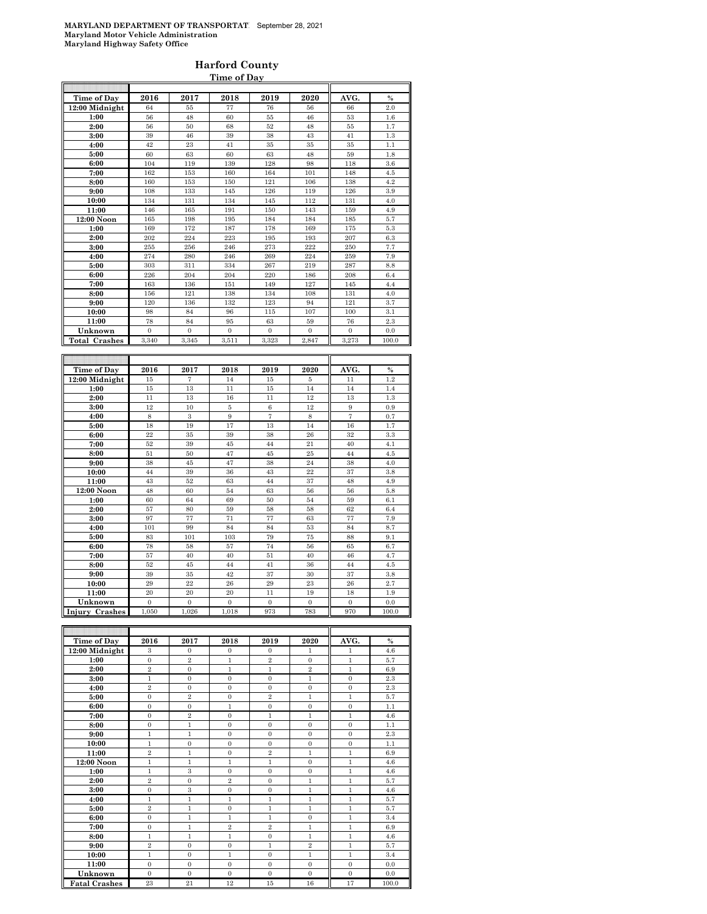#### **Harford County Time of Day**

| Time of Day          | 2016           | 2017           | 2018           | 2019           | 2020         | AVG.           | $\%$  |
|----------------------|----------------|----------------|----------------|----------------|--------------|----------------|-------|
| $12:00$ Midnight     | 64             | 55             | 77             | 76             | 56           | 66             | 2.0   |
| 1:00                 | 56             | 48             | 60             | 55             | 46           | 53             | 1.6   |
| 2:00                 | 56             | 50             | 68             | 52             | 48           | 55             | 1.7   |
| 3:00                 | 39             | 46             | 39             | 38             | 43           | 41             | 1.3   |
| 4:00                 | 42             | 23             | 41             | 35             | 35           | 35             | 1.1   |
| 5:00                 | 60             | 63             | 60             | 63             | 48           | 59             | 1.8   |
| 6:00                 | 104            | 119            | 139            | 128            | 98           | 118            | 3.6   |
| 7:00                 | 162            | 153            | 160            | 164            | 101          | 148            | 4.5   |
| 8:00                 | 160            | 153            | 150            | 121            | 106          | 138            | 4.2   |
| 9:00                 | 108            | 133            | 145            | 126            | 119          | 126            | 3.9   |
| 10:00                | 134            | 131            | 134            | 145            | 112          | 131            | 4.0   |
| 11:00                | 146            | 165            | 191            | 150            | 143          | 159            | 4.9   |
|                      | 165            | 198            | 195            | 184            | 184          | 185            | 5.7   |
| 12:00 Noon           | 169            | 172            | 187            | 178            | 169          | 175            | 5.3   |
| 1:00                 | 202            | 224            | 223            |                | 193          | 207            |       |
| 2:00                 |                |                |                | 195            |              |                | 6.3   |
| 3:00                 | 255            | 256            | 246            | 273            | 222          | 250            | 7.7   |
| 4:00                 | 274            | 280            | 246            | 269            | 224          | 259            | 7.9   |
| 5:00                 | 303            | 311            | 334            | 267            | 219          | 287            | 8.8   |
| 6:00                 | 226            | 204            | 204            | 220            | 186          | 208            | 6.4   |
| 7:00                 | 163            | 136            | 151            | 149            | 127          | 145            | 4.4   |
| 8:00                 | 156            | 121            | 138            | 134            | 108          | 131            | 4.0   |
| 9:00                 | 120            | 136            | 132            | 123            | 94           | 121            | 3.7   |
| 10:00                | 98             | 84             | 96             | 115            | 107          | 100            | 3.1   |
| 11:00                | 78             | 84             | 95             | 63             | 59           | 76             | 2.3   |
| Unknown              | $\mathbf{0}$   | $\mathbf{0}$   | $\overline{0}$ | $\mathbf{0}$   | $\mathbf{0}$ | $\Omega$       | 0.0   |
| <b>Total Crashes</b> | 3,340          | 3,345          | 3,511          | 3,323          | 2,847        | 3,273          | 100.0 |
|                      |                |                |                |                |              |                |       |
|                      |                |                |                |                |              |                |       |
|                      |                |                |                |                |              |                |       |
| Time of Day          | 2016           | 2017           | 2018           | 2019           | 2020         | AVG.           | $\%$  |
| 12:00 Midnight       | 15             | 7              | 14             | 15             | 5            | 11             | 1.2   |
| 1:00                 | 15             | 13             | 11             | 15             | 14           | 14             | 1.4   |
| 2:00                 | $11\,$         | 13             | 16             | 11             | 12           | 13             | 1.3   |
| 3:00                 | 12             | 10             | 5              | $\,6$          | 12           | 9              | 0.9   |
| 4:00                 | $\,$ 8 $\,$    | $\,3$          | 9              | $\overline{7}$ | 8            | $\overline{7}$ | 0.7   |
| 5:00                 | 18             | 19             | 17             | 13             | 14           | 16             | 1.7   |
| 6:00                 | 22             | 35             | 39             | 38             | 26           | 32             | 3.3   |
| 7:00                 | 52             | 39             | 45             | 44             | 21           | 40             | 4.1   |
| 8:00                 | 51             | 50             | 47             | 45             | 25           | 44             | 4.5   |
| 9:00                 | 38             | 45             | 47             | 38             | 24           | 38             | 4.0   |
| 10:00                | 44             | 39             | 36             | 43             | 22           | 37             | 3.8   |
| 11:00                | 43             | 52             | 63             | 44             | 37           | 48             | 4.9   |
|                      | 48             | 60             | 54             | 63             | 56           | 56             | 5.8   |
| 12:00 Noon<br>1:00   | 60             | 64             | 69             | 50             | 54           | 59             | 6.1   |
| 2:00                 | 57             | 80             | 59             | 58             | 58           | 62             | 6.4   |
| 3:00                 | 97             | 77             | 71             | 77             | 63           | 77             | 7.9   |
| 4:00                 | 101            | 99             | 84             | 84             | 53           | 84             | 8.7   |
|                      | 83             | 101            | 103            | 79             | 75           | 88             | 9.1   |
| 5:00                 | 78             | 58             | 57             | 74             | 56           | 65             | 6.7   |
| 6:00                 | 57             | 40             | 40             | 51             | 40           | 46             | 4.7   |
| 7:00                 |                |                |                |                |              |                |       |
| 8:00                 | 52             | 45             | 44             | 41             | 36           | 44             | 4.5   |
| 9:00                 | 39             | 35             | 42             | 37             | 30           | 37             | 3.8   |
| 10:00                | 29             | 22             | 26             | 29             | 23           | 26             | 2.7   |
| 11:00                | 20             | 20             | 20             | 11             | 19           | 18             | 1.9   |
| Unknown              | $\overline{0}$ | $\overline{0}$ | $\overline{0}$ | $\overline{0}$ | $\mathbf{0}$ | $\overline{0}$ | 0.0   |
| Injury Crashes       | 1,050          | 1,026          | 1,018          | 973            | 783          | 970            | 100.0 |

| Time of Day          | 2016           | 2017           | 2018           | 2019           | 2020           | AVG.         | $\%$  |
|----------------------|----------------|----------------|----------------|----------------|----------------|--------------|-------|
| 12:00 Midnight       | 3              | $\mathbf{0}$   | $\mathbf{0}$   | $\mathbf{0}$   | 1              | 1            | 4.6   |
| 1:00                 | $\theta$       | $\overline{2}$ | 1              | $\overline{2}$ | $\Omega$       | $\mathbf{1}$ | 5.7   |
| 2:00                 | $\overline{2}$ | $\Omega$       | $\mathbf{1}$   | $\mathbf{1}$   | $\overline{2}$ | $\mathbf{1}$ | 6.9   |
| 3:00                 | $\mathbf{1}$   | $\overline{0}$ | $\overline{0}$ | $\overline{0}$ | $\mathbf{1}$   | $\mathbf{0}$ | 2.3   |
| 4:00                 | $\overline{2}$ | $\Omega$       | $\overline{0}$ | $\overline{0}$ | $\Omega$       | $\mathbf{0}$ | 2.3   |
| 5:00                 | $\mathbf{0}$   | $\overline{2}$ | $\mathbf{0}$   | $\overline{2}$ | $\mathbf{1}$   | $\mathbf{1}$ | 5.7   |
| 6:00                 | $\overline{0}$ | $\overline{0}$ | 1              | $\overline{0}$ | $\overline{0}$ | $\mathbf{0}$ | 1.1   |
| 7:00                 | $\overline{0}$ | $\overline{2}$ | $\overline{0}$ | $\mathbf{1}$   | $\mathbf{1}$   | $\mathbf{1}$ | 4.6   |
| 8:00                 | $\theta$       | 1              | $\Omega$       | $\Omega$       | $\Omega$       | $\Omega$     | 1.1   |
| 9:00                 | $\mathbf{1}$   | $\mathbf{1}$   | $\overline{0}$ | $\overline{0}$ | $\Omega$       | $\mathbf{0}$ | 2.3   |
| 10:00                | 1              | $\mathbf{0}$   | $\overline{0}$ | $\mathbf{0}$   | $\mathbf{0}$   | $\mathbf{0}$ | 1.1   |
| 11:00                | $\overline{2}$ | $\mathbf{1}$   | $\overline{0}$ | $\overline{2}$ | $\mathbf{1}$   | $\mathbf{1}$ | 6.9   |
| 12:00 Noon           | $\mathbf{1}$   | $\mathbf{1}$   | $\mathbf{1}$   | $\mathbf{1}$   | $\Omega$       | $\mathbf{1}$ | 4.6   |
| 1:00                 | $\mathbf{1}$   | 3              | $\overline{0}$ | $\overline{0}$ | $\overline{0}$ | $\mathbf{1}$ | 4.6   |
| 2:00                 | $\overline{2}$ | $\overline{0}$ | $\overline{2}$ | $\overline{0}$ | $\mathbf{1}$   | $\mathbf{1}$ | 5.7   |
| 3:00                 | $\overline{0}$ | 3              | $\mathbf{0}$   | $\overline{0}$ | $\mathbf{1}$   | $\mathbf{1}$ | 4.6   |
| 4:00                 | $\mathbf{1}$   | $\mathbf{1}$   | $\mathbf{1}$   | $\mathbf{1}$   | $\mathbf{1}$   | $\mathbf{1}$ | 5.7   |
| 5:00                 | $\overline{2}$ | $\mathbf{1}$   | $\overline{0}$ | $\mathbf{1}$   | $\mathbf{1}$   | $\mathbf{1}$ | 5.7   |
| 6:00                 | $\overline{0}$ | $\mathbf{1}$   | $\mathbf{1}$   | $\mathbf{1}$   | $\overline{0}$ | $\mathbf{1}$ | 3.4   |
| 7:00                 | $\overline{0}$ | $\mathbf{1}$   | $\overline{2}$ | $\overline{2}$ | $\mathbf{1}$   | $\mathbf{1}$ | 6.9   |
| 8:00                 | $\mathbf{1}$   | $\mathbf{1}$   | $\mathbf{1}$   | $\mathbf{0}$   | $\mathbf{1}$   | $\mathbf{1}$ | 4.6   |
| 9:00                 | $\overline{2}$ | $\Omega$       | $\overline{0}$ | $\mathbf{1}$   | $\overline{2}$ | $\mathbf{1}$ | 5.7   |
| 10:00                | 1              | $\Omega$       | 1              | $\mathbf{0}$   | 1              | 1            | 3.4   |
| 11:00                | $\overline{0}$ | $\Omega$       | $\overline{0}$ | $\overline{0}$ | $\Omega$       | $\mathbf{0}$ | 0.0   |
| Unknown              | $\overline{0}$ | $\Omega$       | $\overline{0}$ | $\mathbf{0}$   | $\Omega$       | $\mathbf{0}$ | 0.0   |
| <b>Fatal Crashes</b> | 23             | 21             | 12             | 15             | 16             | 17           | 100.0 |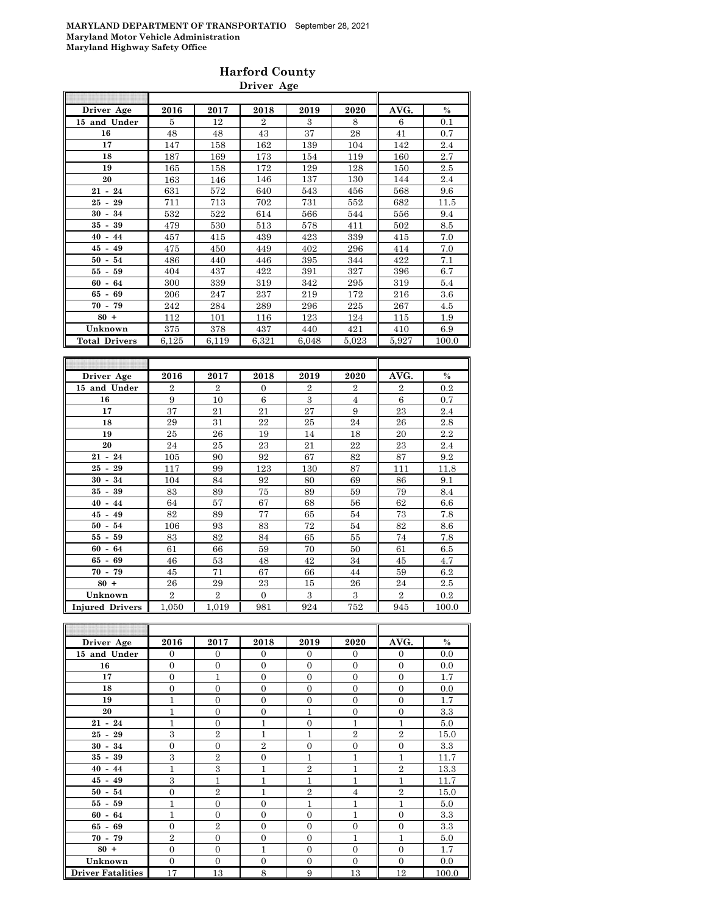#### **Harford County Driver Age**

| Driver Age                           | 2016  | 2017  | 2018           | 2019  | 2020  | AVG.  | $\%$  |
|--------------------------------------|-------|-------|----------------|-------|-------|-------|-------|
| 15 and Under                         | 5     | 12    | $\overline{2}$ | 3     | 8     | 6     | 0.1   |
| 16                                   | 48    | 48    | 43             | 37    | 28    | 41    | 0.7   |
| 17                                   | 147   | 158   | 162            | 139   | 104   | 142   | 2.4   |
| 18                                   | 187   | 169   | 173            | 154   | 119   | 160   | 2.7   |
| 19                                   | 165   | 158   | 172            | 129   | 128   | 150   | 2.5   |
| 20                                   | 163   | 146   | 146            | 137   | 130   | 144   | 2.4   |
| $21 - 24$                            | 631   | 572   | 640            | 543   | 456   | 568   | 9.6   |
| $25 -$<br>29                         | 711   | 713   | 702            | 731   | 552   | 682   | 11.5  |
| 34<br>30<br>$\overline{\phantom{a}}$ | 532   | 522   | 614            | 566   | 544   | 556   | 9.4   |
| 39<br>$35 -$                         | 479   | 530   | 513            | 578   | 411   | 502   | 8.5   |
| $40 - 44$                            | 457   | 415   | 439            | 423   | 339   | 415   | 7.0   |
| $45 - 49$                            | 475   | 450   | 449            | 402   | 296   | 414   | 7.0   |
| $50 - 54$                            | 486   | 440   | 446            | 395   | 344   | 422   | 7.1   |
| 55 -<br>59                           | 404   | 437   | 422            | 391   | 327   | 396   | 6.7   |
| $60 -$<br>64                         | 300   | 339   | 319            | 342   | 295   | 319   | 5.4   |
| $65 - 69$                            | 206   | 247   | 237            | 219   | 172   | 216   | 3.6   |
| $70 - 79$                            | 242   | 284   | 289            | 296   | 225   | 267   | 4.5   |
| $80 +$                               | 112   | 101   | 116            | 123   | 124   | 115   | 1.9   |
| Unknown                              | 375   | 378   | 437            | 440   | 421   | 410   | 6.9   |
| <b>Total Drivers</b>                 | 6,125 | 6,119 | 6,321          | 6,048 | 5,023 | 5,927 | 100.0 |
|                                      |       |       |                |       |       |       |       |
|                                      |       |       |                |       |       |       |       |

| Driver Age             | 2016           | 2017           | 2018           | 2019           | 2020           | AVG.           | $\%$  |
|------------------------|----------------|----------------|----------------|----------------|----------------|----------------|-------|
| 15 and Under           | $\overline{2}$ | $\overline{2}$ | $\mathbf{0}$   | $\overline{2}$ | $\overline{2}$ | $\overline{2}$ | 0.2   |
| 16                     | 9              | 10             | 6              | 3              | $\overline{4}$ | 6              | 0.7   |
| 17                     | 37             | 21             | 21             | 27             | 9              | 23             | 2.4   |
| 18                     | 29             | 31             | 22             | 25             | 24             | 26             | 2.8   |
| 19                     | 25             | 26             | 19             | 14             | 18             | 20             | 2.2   |
| 20                     | 24             | 25             | 23             | 21             | 22             | 23             | 2.4   |
| $21 - 24$              | 105            | 90             | 92             | 67             | 82             | 87             | 9.2   |
| 29<br>$25 -$           | 117            | 99             | 123            | 130            | 87             | 111            | 11.8  |
| 34<br>$30 -$           | 104            | 84             | 92             | 80             | 69             | 86             | 9.1   |
| $35 - 39$              | 83             | 89             | 75             | 89             | 59             | 79             | 8.4   |
| $40 - 44$              | 64             | 57             | 67             | 68             | 56             | 62             | 6.6   |
| $45 -$<br>49           | 82             | 89             | 77             | 65             | 54             | 73             | 7.8   |
| 54<br>$50 -$           | 106            | 93             | 83             | 72             | 54             | 82             | 8.6   |
| 55 -<br>59             | 83             | 82             | 84             | 65             | 55             | 74             | 7.8   |
| $60 - 64$              | 61             | 66             | 59             | 70             | 50             | 61             | 6.5   |
| 69<br>65 -             | 46             | 53             | 48             | 42             | 34             | 45             | 4.7   |
| $70 - 79$              | 45             | 71             | 67             | 66             | 44             | 59             | 6.2   |
| $80 +$                 | 26             | 29             | 23             | 15             | 26             | 24             | 2.5   |
| Unknown                | $\overline{2}$ | $\overline{2}$ | $\overline{0}$ | 3              | 3              | $\overline{2}$ | 0.2   |
| <b>Injured Drivers</b> | 1,050          | 1,019          | 981            | 924            | 752            | 945            | 100.0 |

| Driver Age               | 2016           | 2017           | 2018           | 2019           | 2020           | AVG.             | $\%$  |
|--------------------------|----------------|----------------|----------------|----------------|----------------|------------------|-------|
| 15 and Under             | $\Omega$       | $\Omega$       | $\Omega$       | $\Omega$       | $\Omega$       | $\overline{0}$   | 0.0   |
| 16                       | $\overline{0}$ | $\overline{0}$ | $\theta$       | $\Omega$       | $\overline{0}$ | $\overline{0}$   | 0.0   |
| 17                       | $\overline{0}$ | $\overline{1}$ | $\overline{0}$ | $\overline{0}$ | $\overline{0}$ | $\overline{0}$   | 1.7   |
| 18                       | $\overline{0}$ | $\overline{0}$ | $\Omega$       | $\Omega$       | $\overline{0}$ | $\overline{0}$   | 0.0   |
| 19                       | 1              | $\overline{0}$ | $\theta$       | $\Omega$       | $\overline{0}$ | $\overline{0}$   | 1.7   |
| 20                       | 1              | $\overline{0}$ | $\overline{0}$ | 1              | $\overline{0}$ | $\overline{0}$   | 3.3   |
| $21 - 24$                | 1              | $\overline{0}$ | $\mathbf{1}$   | $\Omega$       | $\mathbf{1}$   | 1                | 5.0   |
| $25 - 29$                | 3              | $\overline{2}$ | 1              | 1              | $\overline{2}$ | $\overline{2}$   | 15.0  |
| $30 - 34$                | $\overline{0}$ | $\overline{0}$ | $\overline{2}$ | $\overline{0}$ | $\overline{0}$ | $\boldsymbol{0}$ | 3.3   |
| $35 - 39$                | 3              | $\overline{2}$ | $\overline{0}$ | 1              | $\mathbf{1}$   | $\overline{1}$   | 11.7  |
| $40 - 44$                | 1              | 3              | 1              | $\overline{2}$ | $\mathbf{1}$   | $\overline{2}$   | 13.3  |
| $45 - 49$                | 3              | $\mathbf{1}$   | $\mathbf{1}$   | 1              | $\mathbf{1}$   | 1                | 11.7  |
| $50 - 54$                | $\overline{0}$ | $\overline{2}$ | 1              | $\overline{2}$ | $\overline{4}$ | $\overline{2}$   | 15.0  |
| $55 - 59$                | 1              | $\overline{0}$ | $\Omega$       | 1              | $\mathbf{1}$   | $\overline{1}$   | 5.0   |
| $60 - 64$                | 1              | $\Omega$       | $\theta$       | $\Omega$       | 1              | $\overline{0}$   | 3.3   |
| $65 - 69$                | $\overline{0}$ | $\overline{2}$ | $\Omega$       | $\Omega$       | $\overline{0}$ | $\overline{0}$   | 3.3   |
| $70 - 79$                | $\overline{2}$ | $\overline{0}$ | $\Omega$       | $\Omega$       | 1              | 1                | 5.0   |
| $80 +$                   | $\overline{0}$ | $\overline{0}$ | $\mathbf{1}$   | $\Omega$       | $\mathbf{0}$   | $\overline{0}$   | 1.7   |
| Unknown                  | $\overline{0}$ | $\overline{0}$ | $\overline{0}$ | $\overline{0}$ | $\overline{0}$ | $\overline{0}$   | 0.0   |
| <b>Driver Fatalities</b> | 17             | 13             | 8              | 9              | 13             | 12               | 100.0 |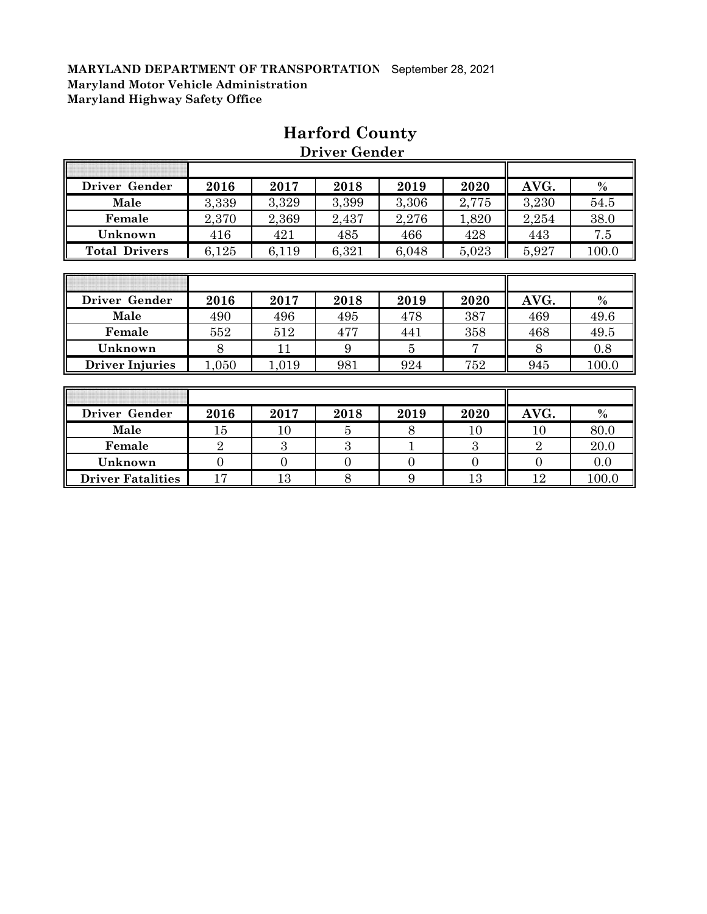| Driver Gender        | 2016  | 2017  | 2018  | 2019  | 2020  | AVG.  | $\frac{0}{0}$ |
|----------------------|-------|-------|-------|-------|-------|-------|---------------|
| Male                 | 3,339 | 3,329 | 3,399 | 3,306 | 2,775 | 3,230 | 54.5          |
| Female               | 2,370 | 2,369 | 2,437 | 2,276 | 1,820 | 2,254 | 38.0          |
| Unknown              | 416   | 421   | 485   | 466   | 428   | 443   | 7.5           |
| <b>Total Drivers</b> | 6,125 | 6,119 | 6,321 | 6,048 | 5,023 | 5,927 | 100.0         |
|                      |       |       |       |       |       |       |               |

## **Harford County**

 **Driver Gender**

| Driver Gender          | 2016 | 2017  | 2018 | 2019 | 2020 | AVG. | $\frac{0}{0}$ |
|------------------------|------|-------|------|------|------|------|---------------|
| Male                   | 490  | 496   | 495  | 478  | 387  | 469  | 49.6          |
| Female                 | 552  | 512   | 477  | 441  | 358  | 468  | 49.5          |
| Unknown                |      |       |      |      |      |      | 0.8           |
| <b>Driver Injuries</b> | ,050 | 1,019 | 981  | 924  | 752  | 945  | 100.0         |

| Driver Gender            | 2016   | 2017   | 2018 | 2019 | 2020   | AVG.   | $\%$  |
|--------------------------|--------|--------|------|------|--------|--------|-------|
| Male                     | $15\,$ | $10\,$ |      |      | $10\,$ | $10\,$ | 80.0  |
| Female                   |        |        |      |      |        |        | 20.0  |
| Unknown                  |        |        |      |      |        |        | 0.0   |
| <b>Driver Fatalities</b> | 17     | 13     |      |      | 13     | 12     | 100.0 |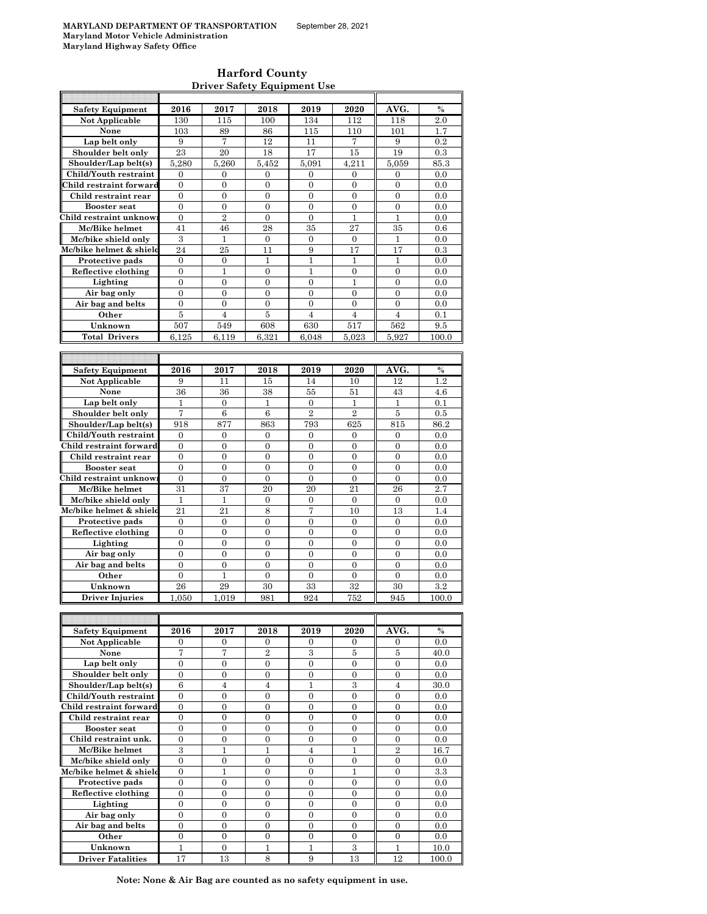$\mathsf{r}$ 

#### **Harford County Driver Safety Equipment Use**

| <b>Safety Equipment</b>             | 2016               | 2017                   | 2018             | 2019             | 2020             | AVG.             | $\%$          |
|-------------------------------------|--------------------|------------------------|------------------|------------------|------------------|------------------|---------------|
| Not Applicable                      | 130                | 115                    | 100              | 134              | 112              | 118              | 2.0           |
|                                     |                    |                        |                  |                  |                  |                  |               |
| None                                | 103                | 89                     | 86               | 115              | 110              | 101              | 1.7           |
| Lap belt only                       | 9                  | 7                      | 12               | 11               | 7                | 9                | 0.2           |
| Shoulder belt only                  | 23                 | 20                     | 18               | 17               | 15               | 19               | 0.3           |
| Shoulder/Lap belt(s)                | 5,280              | 5,260                  | 5,452            | 5,091            | 4,211            | 5,059            | 85.3          |
| Child/Youth restraint               | 0                  | 0                      | 0                | 0                | 0                | 0                | 0.0           |
|                                     |                    |                        |                  |                  |                  |                  |               |
| Child restraint forward             | $\mathbf{0}$       | $\mathbf{0}$           | $\mathbf{0}$     | $\overline{0}$   | $\overline{0}$   | $\boldsymbol{0}$ | 0.0           |
| Child restraint rear                | 0                  | $\boldsymbol{0}$       | $\boldsymbol{0}$ | 0                | $\boldsymbol{0}$ | $\boldsymbol{0}$ | 0.0           |
| <b>Booster seat</b>                 | $\mathbf{0}$       | $\mathbf{0}$           | $\overline{0}$   | $\overline{0}$   | $\mathbf{0}$     | $\mathbf{0}$     | 0.0           |
| Child restraint unknow              | $\mathbf{0}$       | $\overline{2}$         | $\overline{0}$   | $\overline{0}$   | $\mathbf{1}$     | 1                | 0.0           |
| Mc/Bike helmet                      | 41                 | 46                     | 28               | 35               | 27               | 35               | 0.6           |
|                                     |                    |                        |                  |                  |                  |                  |               |
| Mc/bike shield only                 | 3                  | $\mathbf{1}$           | $\boldsymbol{0}$ | $\overline{0}$   | $\boldsymbol{0}$ | $\mathbf{1}$     | 0.0           |
| Mc/bike helmet & shield             | 24                 | 25                     | 11               | 9                | 17               | 17               | 0.3           |
| Protective pads                     | $\mathbf{0}$       | $\boldsymbol{0}$       | $\mathbf{1}$     | $\mathbf{1}$     | $\mathbf{1}$     | $\mathbf{1}$     | 0.0           |
| Reflective clothing                 | 0                  | 1                      | $\mathbf{0}$     | 1                | 0                | $\overline{0}$   | 0.0           |
| Lighting                            | $\mathbf{0}$       | $\mathbf{0}$           | $\overline{0}$   | $\overline{0}$   | $\mathbf{1}$     | $\overline{0}$   | 0.0           |
|                                     |                    |                        |                  |                  |                  |                  |               |
| Air bag only                        | $\boldsymbol{0}$   | $\boldsymbol{0}$       | $\boldsymbol{0}$ | $\mathbf{0}$     | 0                | $\mathbf{0}$     | 0.0           |
| Air bag and belts                   | $\overline{0}$     | $\overline{0}$         | $\overline{0}$   | $\overline{0}$   | $\overline{0}$   | $\overline{0}$   | 0.0           |
| Other                               | 5                  | 4                      | 5                | 4                | 4                | 4                | 0.1           |
| Unknown                             | 507                | 549                    | 608              | 630              | 517              | 562              | 9.5           |
| <b>Total Drivers</b>                | 6.125              | 6.119                  | 6,321            | 6,048            | 5.023            | 5.927            | 100.0         |
|                                     |                    |                        |                  |                  |                  |                  |               |
|                                     |                    |                        |                  |                  |                  |                  |               |
|                                     |                    |                        |                  |                  |                  |                  |               |
| <b>Safety Equipment</b>             | 2016               | 2017                   | 2018             | 2019             | 2020             | AVG.             | $\%$          |
| Not Applicable                      | 9                  | 11                     | 15               | 14               | 10               | 12               | 1.2           |
| None                                | 36                 | 36                     | 38               | 55               | 51               | 43               | 4.6           |
|                                     |                    |                        |                  |                  |                  |                  |               |
| Lap belt only                       | 1                  | $\mathbf{0}$           | 1                | 0                | 1                | 1                | 0.1           |
| Shoulder belt only                  | 7                  | 6                      | 6                | $\overline{2}$   | $\overline{2}$   | 5                | 0.5           |
| Shoulder/Lap belt(s)                | 918                | 877                    | 863              | 793              | 625              | 815              | 86.2          |
| Child/Youth restraint               | $\mathbf{0}$       | $\mathbf{0}$           | $\mathbf{0}$     | $\mathbf{0}$     | $\mathbf{0}$     | $\mathbf{0}$     | 0.0           |
| Child restraint forward             | $\mathbf{0}$       | $\boldsymbol{0}$       | $\boldsymbol{0}$ | 0                | $\boldsymbol{0}$ | $\boldsymbol{0}$ | 0.0           |
|                                     |                    |                        |                  |                  |                  |                  |               |
| Child restraint rear                | $\mathbf{0}$       | $\mathbf{0}$           | $\overline{0}$   | $\overline{0}$   | $\overline{0}$   | $\overline{0}$   | 0.0           |
| <b>Booster seat</b>                 | $\mathbf{0}$       | $\mathbf{0}$           | $\overline{0}$   | $\overline{0}$   | $\overline{0}$   | $\overline{0}$   | 0.0           |
| Child restraint unknow              | 0                  | 0                      | $\boldsymbol{0}$ | 0                | $\mathbf{0}$     | $\mathbf{0}$     | 0.0           |
| Mc/Bike helmet                      | 31                 | 37                     | 20               | $^{20}$          | 21               | 26               | 2.7           |
| Mc/bike shield only                 | 1                  | 1                      | $\boldsymbol{0}$ | 0                | $\mathbf{0}$     | $\mathbf{0}$     | 0.0           |
|                                     |                    |                        |                  |                  |                  |                  |               |
| Mc/bike helmet & shield             | 21                 | 21                     | 8                | $\overline{7}$   | 10               | 13               | 1.4           |
| Protective pads                     | $\mathbf{0}$       | $\mathbf{0}$           | 0                | 0                | $\mathbf{0}$     | $\mathbf{0}$     | 0.0           |
| Reflective clothing                 | $\overline{0}$     | $\overline{0}$         | $\overline{0}$   | $\overline{0}$   | $\overline{0}$   | $\overline{0}$   | 0.0           |
| Lighting                            | $\boldsymbol{0}$   | $\boldsymbol{0}$       | $\boldsymbol{0}$ | 0                | $\boldsymbol{0}$ | $\boldsymbol{0}$ | 0.0           |
| Air bag only                        | $\mathbf{0}$       | $\mathbf{0}$           | $\overline{0}$   | $\overline{0}$   | $\overline{0}$   | $\mathbf{0}$     | 0.0           |
| Air bag and belts                   |                    |                        |                  | $\overline{0}$   |                  | $\overline{0}$   |               |
|                                     | $\boldsymbol{0}$   | $\boldsymbol{0}$       | $\boldsymbol{0}$ |                  | $\boldsymbol{0}$ |                  | 0.0           |
| Other                               | $\boldsymbol{0}$   | 1                      | $\overline{0}$   | $\overline{0}$   | $\overline{0}$   | $\overline{0}$   | 0.0           |
| Unknown                             | 26                 | 29                     | 30               | 33               | 32               | 30               | 3.2           |
| Driver Injuries                     | 1,050              | 1,019                  | 981              | 924              | 752              | 945              | 100.0         |
|                                     |                    |                        |                  |                  |                  |                  |               |
|                                     |                    |                        |                  |                  |                  |                  |               |
|                                     |                    |                        |                  |                  |                  |                  |               |
| <b>Safety Equipment</b>             | 2016               | 2017                   | 2018             | 2019             | 2020             | AVG.             | %             |
| Not Applicable                      | 0                  | $\mathbf{0}$           | $\mathbf{0}$     | 0                | $\mathbf{0}$     | $\boldsymbol{0}$ | 0.0           |
| None                                | 7                  | 7                      | $\overline{2}$   | $\,3$            | 5                | $\bf 5$          | 40.0          |
| Lap belt only                       | $\boldsymbol{0}$   | $\boldsymbol{0}$       | $\overline{0}$   | $\boldsymbol{0}$ | $\boldsymbol{0}$ | $\boldsymbol{0}$ | 0.0           |
| Shoulder belt only                  | $\boldsymbol{0}$   | $\boldsymbol{0}$       | $\boldsymbol{0}$ | 0                | $\boldsymbol{0}$ | $\boldsymbol{0}$ | 0.0           |
| Shoulder/Lap belt(s)                |                    |                        |                  |                  |                  |                  |               |
|                                     | 6                  | $\overline{4}$         | $\overline{4}$   | $\mathbf{1}$     | 3                | $\overline{4}$   | 30.0          |
| Child/Youth restraint               | $\mathbf{0}$       | $\mathbf{0}$           | $\overline{0}$   | $\overline{0}$   | $\overline{0}$   | $\overline{0}$   | 0.0           |
| Child restraint forward             | 0                  | 0                      | $\boldsymbol{0}$ | 0                | $\boldsymbol{0}$ | $\boldsymbol{0}$ | 0.0           |
| Child restraint rear                | $\boldsymbol{0}$   | $\boldsymbol{0}$       | $\boldsymbol{0}$ | $\overline{0}$   | $\boldsymbol{0}$ | $\boldsymbol{0}$ | 0.0           |
| <b>Booster seat</b>                 | 0                  | $\boldsymbol{0}$       | $\boldsymbol{0}$ | 0                | $\boldsymbol{0}$ | $\boldsymbol{0}$ | 0.0           |
| Child restraint unk.                | $\mathbf{0}$       | $\mathbf{0}$           | $\overline{0}$   | $\overline{0}$   | $\overline{0}$   | $\overline{0}$   | 0.0           |
|                                     |                    |                        |                  |                  |                  |                  |               |
| Mc/Bike helmet                      | 3                  | 1                      | 1                | $\overline{4}$   | 1                | $\overline{2}$   | 16.7          |
| Mc/bike shield only                 | $\mathbf{0}$       | $\boldsymbol{0}$       | $\overline{0}$   | $\overline{0}$   | $\boldsymbol{0}$ | $\overline{0}$   | 0.0           |
| Mc/bike helmet & shield             | $\boldsymbol{0}$   | $\mathbf{1}$           | $\boldsymbol{0}$ | 0                | 1                | $\boldsymbol{0}$ | 3.3           |
| Protective pads                     | $\mathbf{0}$       | $\mathbf{0}$           | $\overline{0}$   | $\overline{0}$   | $\overline{0}$   | $\overline{0}$   | 0.0           |
| Reflective clothing                 | $\boldsymbol{0}$   | $\boldsymbol{0}$       | $\boldsymbol{0}$ | $\boldsymbol{0}$ | $\boldsymbol{0}$ | $\boldsymbol{0}$ | 0.0           |
|                                     |                    |                        |                  |                  |                  |                  | 0.0           |
|                                     |                    |                        |                  |                  |                  |                  |               |
| Lighting                            | 0                  | $\boldsymbol{0}$       | $\mathbf{0}$     | 0                | $\overline{0}$   | $\overline{0}$   |               |
| Air bag only                        | $\boldsymbol{0}$   | $\boldsymbol{0}$       | $\boldsymbol{0}$ | 0                | $\boldsymbol{0}$ | $\boldsymbol{0}$ | 0.0           |
| Air bag and belts                   | $\boldsymbol{0}$   | $\boldsymbol{0}$       | $\boldsymbol{0}$ | 0                | $\boldsymbol{0}$ | $\boldsymbol{0}$ | 0.0           |
| Other                               | $\boldsymbol{0}$   | $\mathbf{0}$           | $\overline{0}$   | $\overline{0}$   | $\overline{0}$   | $\overline{0}$   | 0.0           |
|                                     |                    |                        |                  |                  |                  |                  |               |
| Unknown<br><b>Driver Fatalities</b> | $\mathbf{1}$<br>17 | $\boldsymbol{0}$<br>13 | 1<br>8           | 1<br>9           | 3<br>13          | 1<br>12          | 10.0<br>100.0 |

**Note: None & Air Bag are counted as no safety equipment in use.**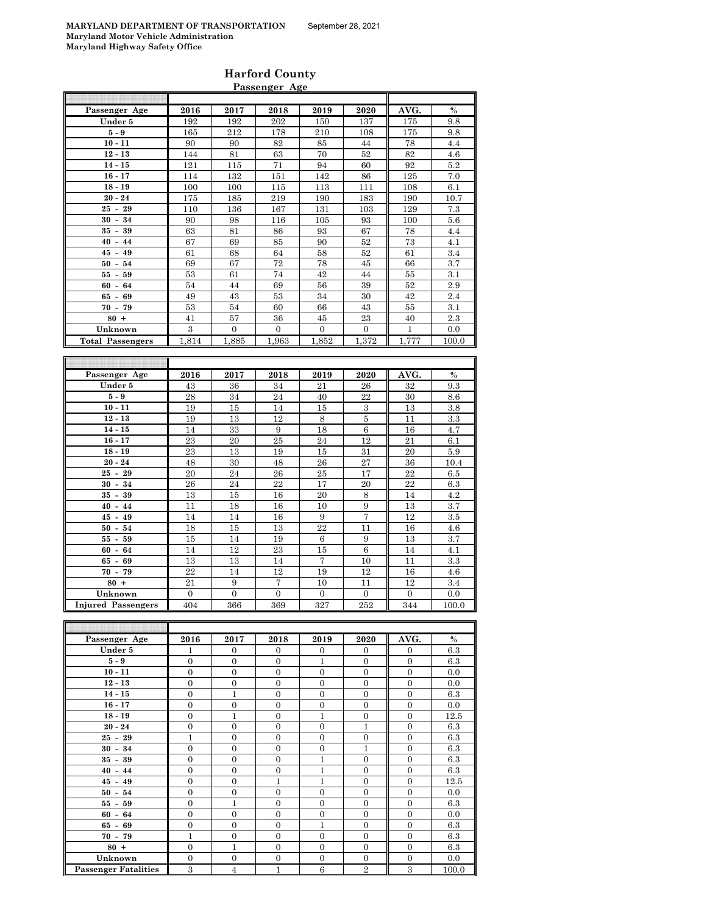|                                      |                       |                       | r assenger nge        |                       |                       |                       |              |
|--------------------------------------|-----------------------|-----------------------|-----------------------|-----------------------|-----------------------|-----------------------|--------------|
| Passenger Age                        | 2016                  | 2017                  | 2018                  | 2019                  | 2020                  | AVG.                  | $\%$         |
| Under 5                              | 192                   | 192                   | 202                   | 150                   | 137                   | 175                   | 9.8          |
| $5-9$                                | 165                   | 212                   | 178                   | 210                   | 108                   | 175                   | 9.8          |
| $10 - 11$                            | 90                    | 90                    | 82                    | 85                    | 44                    | 78                    | 4.4          |
| $12 - 13$                            | 144                   | 81                    | $63\,$                | 70                    | 52                    | $82\,$                | 4.6          |
| $14 - 15$                            | 121                   | 115                   | 71                    | 94                    | 60                    | 92                    | 5.2          |
| $16 - 17$                            | 114                   | 132                   | 151                   | 142                   | 86                    | 125                   | 7.0          |
| $18 - 19$                            | 100                   | 100                   | 115                   | 113                   | 111                   | 108                   | 6.1          |
| $20 - 24$                            | 175                   | 185                   | 219                   | 190                   | 183                   | 190                   | 10.7         |
| $25 - 29$                            | 110                   | 136                   | 167                   | 131                   | 103                   | 129                   | 7.3          |
| $30 - 34$                            | 90                    | 98                    | 116                   | 105                   | 93                    | 100                   | 5.6          |
| $35 - 39$                            | 63                    | 81                    | 86                    | 93                    | 67                    | 78                    | 4.4          |
| $40 - 44$                            | 67                    | 69                    | 85                    | 90                    | 52                    | 73                    | 4.1          |
| $45 - 49$                            | 61                    | 68                    | 64                    | 58                    | 52                    | 61                    | 3.4          |
| $50 - 54$                            | 69                    | 67                    | 72                    | 78                    | 45                    | 66                    | 3.7          |
| $55 - 59$                            | 53                    | 61                    | 74                    | 42                    | 44                    | 55                    | 3.1          |
| $60 - 64$                            | 54                    | 44                    | 69                    | 56                    | 39                    | 52                    | 2.9          |
| $65 - 69$                            | 49                    | 43                    | 53                    | 34                    | 30                    | 42                    | 2.4          |
| $70 - 79$                            | 53                    | 54                    | 60                    | 66                    | 43                    | 55                    | 3.1          |
| $80 +$                               | 41                    | 57                    | 36                    | 45                    | 23                    | 40                    | 2.3          |
| Unknown                              | 3                     | $\overline{0}$        | $\overline{0}$        | $\overline{0}$        | $\overline{0}$        | $\mathbf{1}$          | 0.0          |
| <b>Total Passengers</b>              | 1,814                 | 1,885                 | 1,963                 | 1,852                 | 1,372                 | 1,777                 | 100.0        |
|                                      |                       |                       |                       |                       |                       |                       |              |
|                                      |                       |                       |                       |                       |                       |                       |              |
|                                      |                       |                       |                       |                       |                       |                       |              |
| Passenger Age                        | 2016                  | 2017                  | 2018                  | 2019                  | 2020                  | AVG.                  | %            |
| Under 5                              | 43                    | 36                    | 34                    | 21                    | 26                    | 32                    | 9.3          |
| $5-9$                                | 28                    | 34                    | 24                    | 40                    | 22                    | 30                    | 8.6          |
| $10 - 11$                            | 19                    | 15                    | 14                    | 15                    | 3                     | 13                    | 3.8          |
| $12 - 13$                            | 19                    | 13                    | 12                    | $\,8\,$               | 5                     | 11                    | $\!3.3$      |
| $14 - 15$                            | 14                    | 33                    | $\boldsymbol{9}$      | 18                    | $\,6$                 | 16                    | 4.7          |
| $16 - 17$                            | 23                    | 20                    | 25                    | 24                    | 12                    | 21                    | 6.1          |
| $18 - 19$                            | 23                    | 13                    | 19                    | 15                    | 31                    | 20                    | 5.9          |
| $20 - 24$                            | 48                    | 30                    | 48                    | 26                    | 27                    | 36                    | 10.4         |
| $25 - 29$                            | 20                    | 24                    | 26                    | 25                    | 17                    | 22                    | 6.5          |
| $30 - 34$                            | 26                    | 24                    | 22                    | 17                    | 20                    | 22                    | 6.3          |
| $35 - 39$                            | 13                    | 15                    | 16                    | 20                    | $\,8\,$               | 14                    | 4.2          |
| $40 - 44$                            | 11                    | 18                    | 16                    | 10                    | 9                     | 13                    | 3.7          |
| 45 -<br>49                           | 14                    | 14                    | 16                    | 9                     | 7                     | 12                    | 3.5          |
| $50 - 54$                            | 18                    | 15                    | 13                    | 22                    | 11                    | 16                    | 4.6          |
| $55 - 59$                            | 15                    | 14                    | 19                    | 6                     | 9                     | 13                    | 3.7          |
| 64<br>$60 -$                         | 14                    | 12                    | 23                    | 15                    | 6                     | 14                    | 4.1          |
| $65 - 69$                            | 13                    | 13                    | 14                    | 7                     | 10                    | 11                    | 3.3          |
| $70 - 79$                            | 22                    | 14                    | 12                    | 19                    | 12                    | 16                    | 4.6          |
| $80 +$                               | 21                    | 9                     | $\overline{7}$        | 10                    | 11                    | 12                    | 3.4          |
| Unknown<br><b>Injured Passengers</b> | $\overline{0}$<br>404 | $\overline{0}$<br>366 | $\overline{0}$<br>369 | $\overline{0}$<br>327 | $\overline{0}$<br>252 | $\overline{0}$<br>344 | 0.0<br>100.0 |

| Passenger Age               | 2016           | 2017           | 2018           | 2019           | 2020           | AVG.           | $\%$  |
|-----------------------------|----------------|----------------|----------------|----------------|----------------|----------------|-------|
| Under 5                     | $\mathbf{1}$   | $\Omega$       | $\Omega$       | $\mathbf{0}$   | $\Omega$       | $\overline{0}$ | 6.3   |
| $5-9$                       | $\overline{0}$ | $\overline{0}$ | $\overline{0}$ | $\mathbf{1}$   | $\overline{0}$ | $\mathbf{0}$   | 6.3   |
| $10 - 11$                   | $\Omega$       | $\Omega$       | $\Omega$       | $\Omega$       | $\Omega$       | $\Omega$       | 0.0   |
| $12 - 13$                   | $\Omega$       | $\Omega$       | $\Omega$       | $\Omega$       | $\Omega$       | $\Omega$       | 0.0   |
| $14 - 15$                   | $\overline{0}$ | 1              | $\overline{0}$ | $\mathbf{0}$   | $\overline{0}$ | $\mathbf{0}$   | 6.3   |
| $16 - 17$                   | $\overline{0}$ | $\mathbf{0}$   | $\Omega$       | $\mathbf{0}$   | $\Omega$       | $\Omega$       | 0.0   |
| $18 - 19$                   | $\overline{0}$ | 1              | $\overline{0}$ | 1              | $\overline{0}$ | $\mathbf{0}$   | 12.5  |
| $20 - 24$                   | $\Omega$       | $\Omega$       | $\Omega$       | $\mathbf{0}$   | 1              | $\Omega$       | 6.3   |
| $25 - 29$                   | $\mathbf{1}$   | $\mathbf{0}$   | $\overline{0}$ | $\mathbf{0}$   | $\overline{0}$ | $\mathbf{0}$   | 6.3   |
| $30 - 34$                   | $\overline{0}$ | $\overline{0}$ | $\overline{0}$ | $\mathbf{0}$   | $\mathbf{1}$   | $\mathbf{0}$   | 6.3   |
| $35 - 39$                   | $\overline{0}$ | $\mathbf{0}$   | $\mathbf{0}$   | 1              | $\mathbf{0}$   | $\Omega$       | 6.3   |
| $40 - 44$                   | $\Omega$       | $\Omega$       | $\mathbf{0}$   | 1              | $\mathbf{0}$   | $\mathbf{0}$   | 6.3   |
| $45 - 49$                   | $\overline{0}$ | $\mathbf{0}$   | 1              | 1              | $\Omega$       | $\mathbf{0}$   | 12.5  |
| $50 - 54$                   | $\overline{0}$ | $\mathbf{0}$   | $\overline{0}$ | $\mathbf{0}$   | $\overline{0}$ | $\mathbf{0}$   | 0.0   |
| $55 - 59$                   | $\overline{0}$ | 1              | $\mathbf{0}$   | $\mathbf{0}$   | $\mathbf{0}$   | $\mathbf{0}$   | 6.3   |
| $60 - 64$                   | $\overline{0}$ | $\mathbf{0}$   | $\mathbf{0}$   | $\mathbf{0}$   | $\overline{0}$ | $\mathbf{0}$   | 0.0   |
| $65 - 69$                   | $\overline{0}$ | $\mathbf{0}$   | $\overline{0}$ | 1              | $\overline{0}$ | $\mathbf{0}$   | 6.3   |
| $70 - 79$                   | 1              | $\mathbf{0}$   | $\overline{0}$ | $\mathbf{0}$   | $\overline{0}$ | $\mathbf{0}$   | 6.3   |
| $80 +$                      | $\mathbf{0}$   | 1              | $\overline{0}$ | $\overline{0}$ | $\overline{0}$ | $\mathbf{0}$   | 6.3   |
| Unknown                     | $\Omega$       | $\mathbf{0}$   | $\mathbf{0}$   | $\mathbf{0}$   | $\overline{0}$ | $\mathbf{0}$   | 0.0   |
| <b>Passenger Fatalities</b> | 3              | $\overline{4}$ | 1              | 6              | $\overline{2}$ | 3              | 100.0 |

#### **Harford County Passenger Age**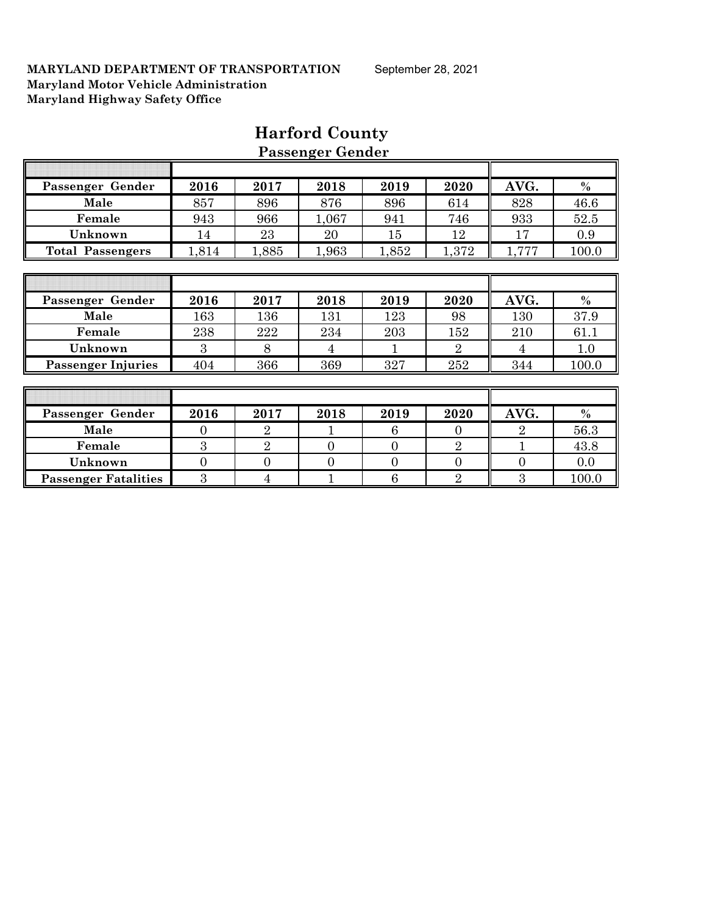|                             |                |                | 1 assenger gehück |                |                |                |       |
|-----------------------------|----------------|----------------|-------------------|----------------|----------------|----------------|-------|
|                             |                |                |                   |                |                |                |       |
| Passenger Gender            | 2016           | 2017           | 2018              | 2019           | 2020           | AVG.           | $\%$  |
| Male                        | 857            | 896            | 876               | 896            | 614            | 828            | 46.6  |
| Female                      | 943            | 966            | 1,067             | 941            | 746            | 933            | 52.5  |
| Unknown                     | 14             | 23             | 20                | 15             | 12             | 17             | 0.9   |
| <b>Total Passengers</b>     | 1,814          | 1,885          | 1,963             | 1,852          | 1,372          | 1,777          | 100.0 |
|                             |                |                |                   |                |                |                |       |
|                             |                |                |                   |                |                |                |       |
| Passenger Gender            | 2016           | 2017           | 2018              | 2019           | 2020           | AVG.           | $\%$  |
| Male                        | 163            | 136            | 131               | 123            | 98             | 130            | 37.9  |
| Female                      | 238            | 222            | 234               | 203            | 152            | 210            | 61.1  |
| Unknown                     | 3              | 8              | $\overline{4}$    | 1              | $\overline{2}$ | $\overline{4}$ | 1.0   |
| <b>Passenger Injuries</b>   | 404            | 366            | 369               | 327            | 252            | 344            | 100.0 |
|                             |                |                |                   |                |                |                |       |
|                             |                |                |                   |                |                |                |       |
| Passenger Gender            | 2016           | 2017           | 2018              | 2019           | 2020           | AVG.           | $\%$  |
| Male                        | $\overline{0}$ | $\overline{2}$ | 1                 | 6              | $\overline{0}$ | $\overline{2}$ | 56.3  |
| Female                      | 3              | $\overline{2}$ | $\overline{0}$    | $\overline{0}$ | $\overline{2}$ |                | 43.8  |
| Unknown                     | $\overline{0}$ | $\overline{0}$ | $\overline{0}$    | $\overline{0}$ | $\overline{0}$ | $\overline{0}$ | 0.0   |
| <b>Passenger Fatalities</b> | 3              | $\overline{4}$ | 1                 | 6              | $\overline{2}$ | 3              | 100.0 |

## **Harford County Passenger Gender**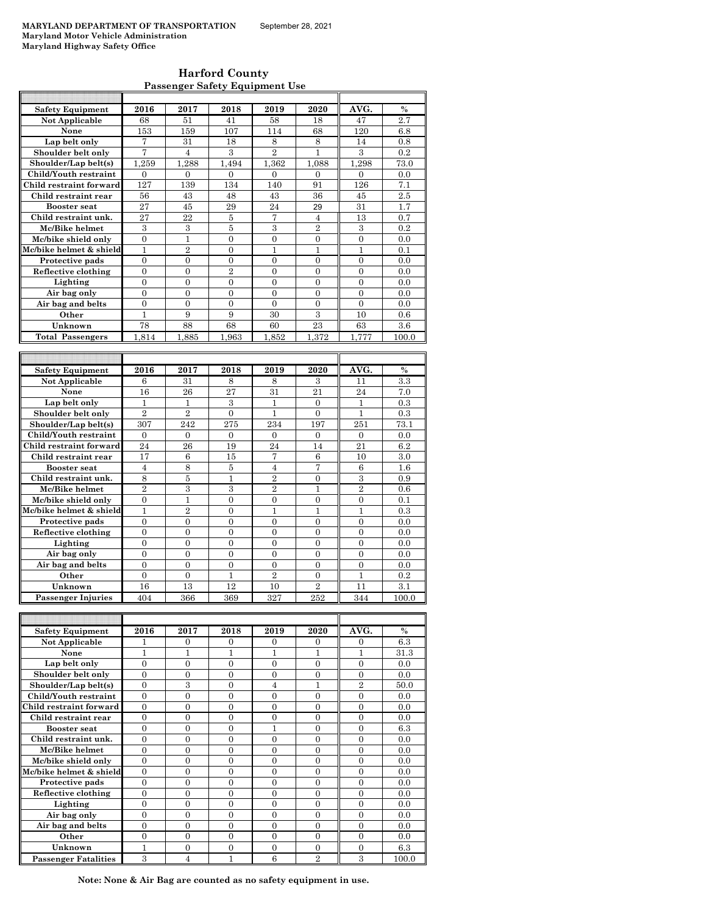| <b>Harford County</b>                 |
|---------------------------------------|
| <b>Passenger Safety Equipment Use</b> |

| <b>Safety Equipment</b>              | 2016                       | 2017                       | 2018                           | 2019           | 2020                  | AVG.                           | $\%$                      |
|--------------------------------------|----------------------------|----------------------------|--------------------------------|----------------|-----------------------|--------------------------------|---------------------------|
| Not Applicable                       | 68                         | 51                         | 41                             | 58             | 18                    | 47                             | 2.7                       |
| None                                 | 153                        | 159                        | 107                            | 114            | 68                    | 120                            | 6.8                       |
| Lap belt only                        | 7                          | 31                         | 18                             | 8              | 8                     | 14                             | $0.8\,$                   |
| Shoulder belt only                   | $\overline{7}$             | $\overline{4}$             | 3                              | $\overline{2}$ | $\mathbf{1}$          | 3                              | 0.2                       |
| Shoulder/Lap belt(s)                 | 1,259                      | 1,288                      | 1,494                          | 1,362          | 1,088                 | 1,298                          | 73.0                      |
| Child/Youth restraint                | $\overline{0}$             | $\overline{0}$             | $\overline{0}$                 | $\mathbf{0}$   | $\mathbf{0}$          | $\overline{0}$                 | 0.0                       |
| Child restraint forward              | 127                        | 139                        | 134                            | 140            | 91                    | 126                            | 7.1                       |
| Child restraint rear                 | 56                         | 43                         | 48                             | 43             | 36                    | 45                             | 2.5                       |
| <b>Booster seat</b>                  | 27                         | 45                         | 29                             | 24             | 29                    | 31                             | 1.7                       |
| Child restraint unk.                 | 27                         | 22                         | 5                              | 7              | 4                     | 13                             | 0.7                       |
| Mc/Bike helmet                       | 3                          | 3                          | 5                              | 3              | $\overline{2}$        | 3                              | 0.2                       |
| Mc/bike shield only                  | $\overline{0}$             | $\mathbf{1}$               | 0                              | $\overline{0}$ | $\overline{0}$        | $\overline{0}$                 | 0.0                       |
| Mc/bike helmet & shield              | $\overline{1}$             | $\overline{2}$             | $\theta$                       | 1              | 1                     | $\mathbf{1}$                   | 0.1                       |
| Protective pads                      | $\overline{0}$             | 0                          | $\overline{0}$                 | $\overline{0}$ | $\overline{0}$        | $\overline{0}$                 | 0.0                       |
| Reflective clothing                  | $\overline{0}$             | $\overline{0}$             | $\overline{2}$                 | $\overline{0}$ | $\overline{0}$        | $\overline{0}$                 | 0.0                       |
| Lighting                             | $\theta$                   | $\theta$                   | $\Omega$                       | $\theta$       | $\theta$              | $\theta$                       | 0.0                       |
| Air bag only                         | 0                          | 0                          | 0                              | $\overline{0}$ | $\overline{0}$        | $\overline{0}$                 | 0.0                       |
| Air bag and belts                    | $\theta$                   | $\theta$                   | $\theta$                       | $\theta$       | $\theta$              | $\theta$                       | 0.0                       |
| Other                                | $\mathbf{1}$               | 9                          | 9                              | 30             | $\overline{3}$        | 10                             | 0.6                       |
| Unknown                              | 78                         | 88                         | 68                             | 60             | 23                    | 63                             | 3.6                       |
| <b>Total Passengers</b>              | 1,814                      | 1,885                      | 1,963                          | 1,852          | 1,372                 | 1,777                          | 100.0                     |
|                                      |                            |                            |                                |                |                       |                                |                           |
|                                      |                            |                            |                                |                |                       |                                |                           |
|                                      |                            |                            |                                |                |                       |                                |                           |
| <b>Safety Equipment</b>              | 2016                       | 2017                       | 2018                           | 2019           | 2020                  | AVG.                           | $\frac{0}{0}$             |
| Not Applicable                       | 6                          | 31                         | 8                              | 8              | 3                     | 11                             | 3.3                       |
| None                                 | 16                         | 26                         | 27                             | 31             | 21                    | 24                             | 7.0                       |
| Lap belt only                        | $\mathbf{1}$               | $\mathbf{1}$               | 3                              | $\mathbf 1$    | $\overline{0}$        | $\mathbf{1}$                   | 0.3                       |
| Shoulder belt only                   | $\overline{2}$             | $\overline{2}$             | $\overline{0}$                 | 1              | $\overline{0}$        | 1                              | 0.3                       |
| Shoulder/Lap belt(s)                 | 307                        | 242                        | 275                            | 234            | 197                   | 251                            | 73.1                      |
| Child/Youth restraint                | $\mathbf{0}$               | $\mathbf{0}$               | $\mathbf{0}$                   | $\mathbf{0}$   | $\mathbf{0}$          | $\mathbf{0}$                   | 0.0                       |
| Child restraint forward              | 24                         | 26                         | 19                             | 24             | 14                    | 21                             | 6.2                       |
| Child restraint rear                 | 17                         | 6                          | 15                             | 7              | $\,6$                 | 10                             | 3.0                       |
| <b>Booster seat</b>                  | $\overline{4}$             | 8                          | 5                              | $\overline{4}$ | 7                     | 6                              | 1.6                       |
| Child restraint unk.                 | 8                          | 5                          | $\mathbf{1}$                   | $\overline{2}$ | $\Omega$              | 3                              | 0.9                       |
| Mc/Bike helmet                       | $\overline{2}$             | 3                          | 3                              | $\overline{2}$ | 1                     | $\overline{2}$                 | 0.6                       |
| Mc/bike shield only                  | $\theta$                   | 1                          | $\theta$                       | $\theta$       | $\theta$              | $\theta$                       | 0.1                       |
| Mc/bike helmet & shield              | $\mathbf{1}$               | $\overline{2}$             | 0                              | $\mathbf{1}$   | $\mathbf{1}$          | 1                              | 0.3                       |
| Protective pads                      | $\theta$                   | $\theta$                   | $\theta$                       | $\theta$       | $\theta$              | $\theta$                       | 0.0                       |
| Reflective clothing                  | $\overline{0}$             | $\overline{0}$             | $\overline{0}$                 | $\overline{0}$ | $\overline{0}$        | $\overline{0}$                 | $\overline{0.0}$          |
| Lighting                             | $\theta$                   | $\overline{0}$             | $\overline{0}$                 | $\overline{0}$ | $\overline{0}$        | $\overline{0}$                 | 0.0                       |
| Air bag only                         | $\overline{0}$             | $\overline{0}$             | $\overline{0}$                 | $\overline{0}$ | $\overline{0}$        | $\overline{0}$                 | 0.0                       |
| Air bag and belts                    | $\overline{0}$<br>$\theta$ | $\overline{0}$<br>$\theta$ | $\overline{0}$<br>$\mathbf{1}$ | $\overline{0}$ | $\overline{0}$        | $\overline{0}$<br>$\mathbf{1}$ | 0.0                       |
| Other                                |                            |                            | 12                             | $\overline{2}$ | $\overline{0}$        |                                | 0.2                       |
| Unknown<br><b>Passenger Injuries</b> | 16<br>404                  | 13<br>366                  | 369                            | 10<br>327      | $\overline{2}$<br>252 | 11<br>344                      | $\overline{3.1}$<br>100.0 |

| <b>Safety Equipment</b>     | 2016     | 2017     | 2018     | 2019           | 2020           | AVG.           | $\%$  |
|-----------------------------|----------|----------|----------|----------------|----------------|----------------|-------|
| Not Applicable              |          | $\Omega$ | $\Omega$ | 0              | $\Omega$       | 0              | 6.3   |
| None                        |          |          |          |                |                |                | 31.3  |
| Lap belt only               | $\theta$ | $\theta$ | $\Omega$ | $\Omega$       | $\Omega$       | $\theta$       | 0.0   |
| Shoulder belt only          | $\theta$ | $\Omega$ | $\Omega$ | $\Omega$       | $\Omega$       | $\Omega$       | 0.0   |
| Shoulder/Lap belt(s)        | $\Omega$ | 3        | $\Omega$ | 4              |                | $\overline{2}$ | 50.0  |
| Child/Youth restraint       | $\Omega$ | $\Omega$ | $\Omega$ | $\Omega$       | $\Omega$       | $\Omega$       | 0.0   |
| Child restraint forward     | $\Omega$ | $\Omega$ | $\Omega$ | $\Omega$       | $\theta$       | $\Omega$       | 0.0   |
| Child restraint rear        | $\Omega$ | $\Omega$ | $\Omega$ | $\Omega$       | $\Omega$       | $\Omega$       | 0.0   |
| <b>Booster seat</b>         | $\Omega$ | $\Omega$ | $\Omega$ |                | $\Omega$       | $\Omega$       | 6.3   |
| Child restraint unk.        | 0        | 0        | 0        | $\overline{0}$ | 0              | 0              | 0.0   |
| Mc/Bike helmet              | $\Omega$ | $\Omega$ | $\Omega$ | $\Omega$       | $\Omega$       | $\Omega$       | 0.0   |
| Mc/bike shield only         | $\Omega$ | $\Omega$ | $\Omega$ | $\Omega$       | $\Omega$       | $\Omega$       | 0.0   |
| Mc/bike helmet & shield     | $\Omega$ | $\Omega$ | $\Omega$ | $\Omega$       | $\Omega$       | $\Omega$       | 0.0   |
| Protective pads             | $\Omega$ | $\Omega$ | $\Omega$ | $\Omega$       | $\Omega$       | $\Omega$       | 0.0   |
| Reflective clothing         | $\Omega$ | $\Omega$ | $\Omega$ | $\Omega$       | $\Omega$       | $\Omega$       | 0.0   |
| Lighting                    | $\Omega$ | $\Omega$ | $\Omega$ | $\Omega$       | $\Omega$       | $\Omega$       | 0.0   |
| Air bag only                | $\Omega$ | $\Omega$ | $\Omega$ | $\Omega$       | $\Omega$       | $\Omega$       | 0.0   |
| Air bag and belts           | $\Omega$ | $\Omega$ | $\Omega$ | $\Omega$       | $\Omega$       | $\Omega$       | 0.0   |
| Other                       | $\theta$ | $\theta$ | $\Omega$ | $\overline{0}$ | $\overline{0}$ | $\theta$       | 0.0   |
| Unknown                     |          | $\Omega$ | $\Omega$ | $\Omega$       | $\Omega$       | $\Omega$       | 6.3   |
| <b>Passenger Fatalities</b> | 3        | 4        |          | 6              | $\overline{2}$ | 3              | 100.0 |

**Note: None & Air Bag are counted as no safety equipment in use.**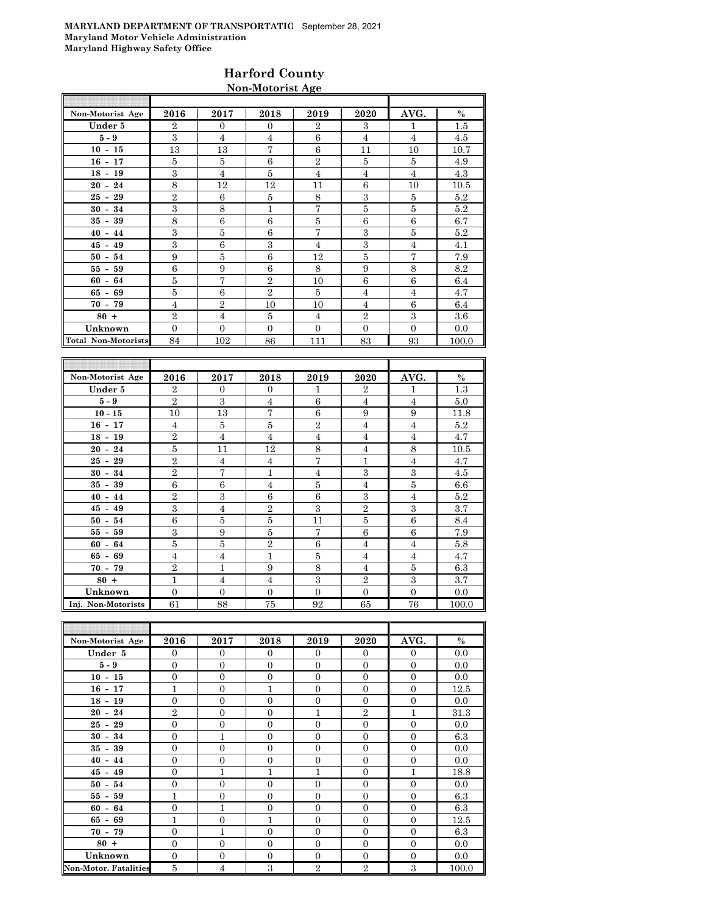### **Harford County Non-Motorist Age**

| Non-Motorist Age           | 2016           | 2017           | 2018           | 2019           | 2020           | AVG.           | $\%$  |
|----------------------------|----------------|----------------|----------------|----------------|----------------|----------------|-------|
| Under 5                    | $\overline{2}$ | $\Omega$       | $\Omega$       | $\overline{2}$ | 3              | $\mathbf{1}$   | 1.5   |
| $5-9$                      | 3              | 4              | 4              | 6              | $\overline{4}$ | $\overline{4}$ | 4.5   |
| $10 - 15$                  | 13             | 13             | $\overline{7}$ | 6              | 11             | 10             | 10.7  |
| $16 - 17$                  | 5              | 5              | 6              | $\mathbf{2}$   | 5              | 5              | 4.9   |
| $18 - 19$                  | 3              | $\overline{4}$ | 5              | $\overline{4}$ | $\overline{4}$ | $\overline{4}$ | 4.3   |
| $20 - 24$                  | $\overline{8}$ | 12             | 12             | 11             | 6              | 10             | 10.5  |
| $25 - 29$                  | $\overline{2}$ | 6              | 5              | 8              | 3              | 5              | 5.2   |
| $30 - 34$                  | 3              | 8              | 1              | 7              | 5              | 5              | 5.2   |
| $35 - 39$                  | 8              | 6              | 6              | 5              | 6              | 6              | 6.7   |
| $40 - 44$                  | 3              | 5              | 6              | $\overline{7}$ | 3              | 5              | 5.2   |
| $45 - 49$                  | 3              | 6              | 3              | $\overline{4}$ | 3              | $\overline{4}$ | 4.1   |
| $50 - 54$                  | 9              | 5              | 6              | 12             | 5              | 7              | 7.9   |
| $55 - 59$                  | 6              | 9              | 6              | 8              | 9              | 8              | 8.2   |
| $60 - 64$                  | 5              | 7              | $\overline{2}$ | 10             | 6              | 6              | 6.4   |
| $65 - 69$                  | 5              | 6              | $\overline{2}$ | 5              | $\overline{4}$ | $\overline{4}$ | 4.7   |
| $70 - 79$                  | $\overline{4}$ | $\overline{2}$ | 10             | 10             | $\overline{4}$ | 6              | 6.4   |
| $80 +$                     | $\overline{2}$ | $\overline{4}$ | 5              | $\overline{4}$ | $\overline{2}$ | 3              | 3.6   |
| Unknown                    | $\Omega$       | $\Omega$       | $\Omega$       | $\Omega$       | $\Omega$       | $\Omega$       | 0.0   |
| <b>Total Non-Motorists</b> | 84             | 102            | 86             | 111            | 83             | 93             | 100.0 |
|                            |                |                |                |                |                |                |       |
|                            |                |                |                |                |                |                |       |
| Non-Motorist Age           | 2016           | 2017           | 2018           | 2019           | 2020           | AVG.           | $\%$  |
| Under 5                    | $\overline{2}$ | $\Omega$       | $\mathbf{0}$   | 1              | $\overline{2}$ | 1              | 1.3   |
| $5-9$                      | $\overline{2}$ | 3              | $\overline{4}$ | 6              | $\overline{4}$ | $\overline{4}$ | 5.0   |

| $5-9$              | 2              | 3              | 4              | 6              | 4              | 4              | 5.0   |
|--------------------|----------------|----------------|----------------|----------------|----------------|----------------|-------|
| $10 - 15$          | 10             | 13             | $\tau$         | 6              | 9              | 9              | 11.8  |
| $16 - 17$          | 4              | 5              | 5              | $\overline{2}$ | $\overline{4}$ | $\overline{4}$ | 5.2   |
| $18 - 19$          | $\overline{2}$ | $\overline{4}$ | $\overline{4}$ | 4              | $\overline{4}$ | 4              | 4.7   |
| $20 - 24$          | 5              | 11             | 12             | 8              | $\overline{4}$ | 8              | 10.5  |
| $25 - 29$          | $\overline{2}$ | $\overline{4}$ | $\overline{4}$ | $\overline{7}$ | 1              | $\overline{4}$ | 4.7   |
| $30 - 34$          | $\overline{2}$ | $\overline{7}$ | 1              | $\overline{4}$ | 3              | 3              | 4.5   |
| $35 - 39$          | 6              | 6              | $\overline{4}$ | 5              | $\overline{4}$ | 5              | 6.6   |
| $40 - 44$          | $\overline{2}$ | 3              | 6              | 6              | 3              | 4              | 5.2   |
| $45 - 49$          | 3              | $\overline{4}$ | $\overline{2}$ | 3              | $\overline{2}$ | 3              | 3.7   |
| $50 - 54$          | 6              | 5              | 5              | 11             | $\bf 5$        | 6              | 8.4   |
| $55 - 59$          | 3              | 9              | 5              | 7              | 6              | 6              | 7.9   |
| $60 - 64$          | 5              | 5              | $\overline{2}$ | 6              | $\overline{4}$ | $\overline{4}$ | 5.8   |
| $65 - 69$          | $\overline{4}$ | $\overline{4}$ | $\mathbf{1}$   | 5              | $\overline{4}$ | $\overline{4}$ | 4.7   |
| $70 - 79$          | $\overline{2}$ | $\mathbf{1}$   | 9              | 8              | $\overline{4}$ | 5              | 6.3   |
| $80 +$             | $\mathbf{1}$   | $\overline{4}$ | $\overline{4}$ | 3              | $\overline{2}$ | 3              | 3.7   |
| Unknown            | 0              | $\mathbf{0}$   | $\Omega$       | $\mathbf{0}$   | $\theta$       | $\theta$       | 0.0   |
| Inj. Non-Motorists | 61             | 88             | 75             | 92             | 65             | 76             | 100.0 |

| Non-Motorist Age             | 2016           | 2017           | 2018           | 2019           | 2020             | AVG.           | $\%$  |
|------------------------------|----------------|----------------|----------------|----------------|------------------|----------------|-------|
| Under 5                      | $\mathbf{0}$   | $\mathbf{0}$   | $\Omega$       | $\Omega$       | $\overline{0}$   | $\Omega$       | 0.0   |
| $5-9$                        | $\overline{0}$ | $\mathbf{0}$   | $\Omega$       | $\Omega$       | $\overline{0}$   | $\Omega$       | 0.0   |
| $10 - 15$                    | $\overline{0}$ | $\mathbf{0}$   | $\overline{0}$ | $\overline{0}$ | $\overline{0}$   | $\overline{0}$ | 0.0   |
| $16 - 17$                    | 1              | $\mathbf{0}$   | 1              | $\Omega$       | $\overline{0}$   | $\overline{0}$ | 12.5  |
| $18 - 19$                    | $\overline{0}$ | $\overline{0}$ | $\overline{0}$ | $\overline{0}$ | $\mathbf{0}$     | $\overline{0}$ | 0.0   |
| $20 - 24$                    | $\overline{2}$ | $\overline{0}$ | $\overline{0}$ | $\mathbf{1}$   | $\overline{2}$   | 1              | 31.3  |
| $25 - 29$                    | $\overline{0}$ | $\overline{0}$ | $\Omega$       | $\Omega$       | $\mathbf{0}$     | $\Omega$       | 0.0   |
| $30 - 34$                    | $\mathbf{0}$   | $\mathbf{1}$   | $\overline{0}$ | $\Omega$       | $\mathbf{0}$     | $\overline{0}$ | 6.3   |
| $35 - 39$                    | $\overline{0}$ | $\overline{0}$ | $\overline{0}$ | $\Omega$       | $\mathbf{0}$     | $\Omega$       | 0.0   |
| $40 - 44$                    | $\overline{0}$ | $\overline{0}$ | $\overline{0}$ | $\overline{0}$ | $\overline{0}$   | $\overline{0}$ | 0.0   |
| $45 - 49$                    | $\overline{0}$ | $\mathbf{1}$   | 1              | 1              | $\theta$         | $\mathbf{1}$   | 18.8  |
| $50 - 54$                    | $\overline{0}$ | $\overline{0}$ | $\overline{0}$ | $\overline{0}$ | $\mathbf{0}$     | $\overline{0}$ | 0.0   |
| $55 - 59$                    | $\mathbf{1}$   | $\overline{0}$ | $\overline{0}$ | $\overline{0}$ | $\boldsymbol{0}$ | $\overline{0}$ | 6.3   |
| $60 - 64$                    | $\overline{0}$ | $\overline{1}$ | $\overline{0}$ | $\overline{0}$ | $\mathbf{0}$     | $\Omega$       | 6.3   |
| $65 - 69$                    | $\mathbf{1}$   | $\overline{0}$ | $\mathbf{1}$   | $\Omega$       | $\theta$         | $\Omega$       | 12.5  |
| $70 - 79$                    | $\theta$       | 1              | $\theta$       | $\Omega$       | $\mathbf{0}$     | $\Omega$       | 6.3   |
| $80 +$                       | $\mathbf{0}$   | $\overline{0}$ | $\Omega$       | $\Omega$       | $\mathbf{0}$     | $\Omega$       | 0.0   |
| Unknown                      | $\overline{0}$ | $\overline{0}$ | $\overline{0}$ | $\overline{0}$ | $\mathbf{0}$     | $\overline{0}$ | 0.0   |
| <b>Non-Motor. Fatalities</b> | 5              | $\overline{4}$ | 3              | $\overline{2}$ | $\overline{2}$   | 3              | 100.0 |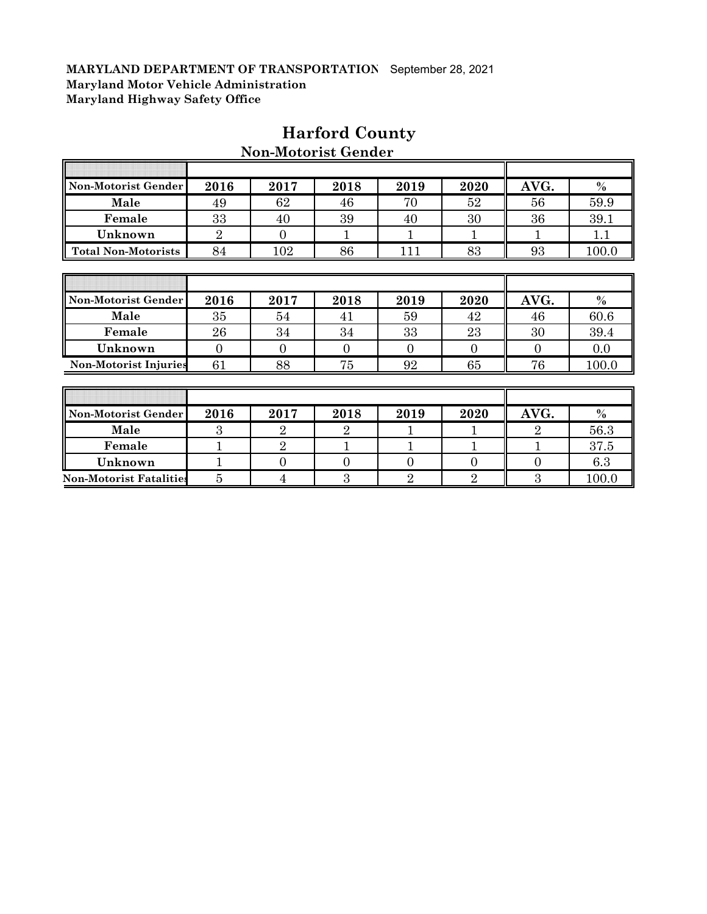F

| Non-Motorist Gender            | 2016           | 2017           | 2018           | 2019           | 2020           | AVG.             | $\%$  |
|--------------------------------|----------------|----------------|----------------|----------------|----------------|------------------|-------|
| Male                           | 49             | 62             | 46             | 70             | 52             | 56               | 59.9  |
| Female                         | 33             | 40             | 39             | 40             | 30             | 36               | 39.1  |
| Unknown                        | $\overline{2}$ | $\theta$       | 1              |                |                |                  | 1.1   |
| <b>Total Non-Motorists</b>     | 84             | 102            | 86             | 111            | 83             | 93               | 100.0 |
|                                |                |                |                |                |                |                  |       |
|                                |                |                |                |                |                |                  |       |
| Non-Motorist Gender            | 2016           | 2017           | 2018           | 2019           | 2020           | AVG.             | $\%$  |
| Male                           | 35             | 54             | 41             | 59             | 42             | 46               | 60.6  |
| Female                         | 26             | 34             | 34             | 33             | 23             | 30               | 39.4  |
| Unknown                        | $\Omega$       | $\theta$       | $\Omega$       | $\Omega$       | $\Omega$       | $\Omega$         | 0.0   |
| <b>Non-Motorist Injuries</b>   | 61             | 88             | 75             | 92             | 65             | 76               | 100.0 |
|                                |                |                |                |                |                |                  |       |
|                                |                |                |                |                |                |                  |       |
| Non-Motorist Gender            | 2016           | 2017           | 2018           | 2019           | 2020           | AVG.             | $\%$  |
| Male                           | 3              | $\overline{2}$ | $\overline{2}$ |                | 1              | $\overline{2}$   | 56.3  |
| Female                         |                | $\overline{2}$ |                |                |                |                  | 37.5  |
| Unknown                        |                | $\theta$       | 0              | $\overline{0}$ | $\overline{0}$ | $\boldsymbol{0}$ | 6.3   |
| <b>Non-Motorist Fatalities</b> | 5              | $\overline{4}$ | 3              | $\overline{2}$ | $\overline{2}$ | 3                | 100.0 |

## **Harford County**

**Non-Motorist Gender**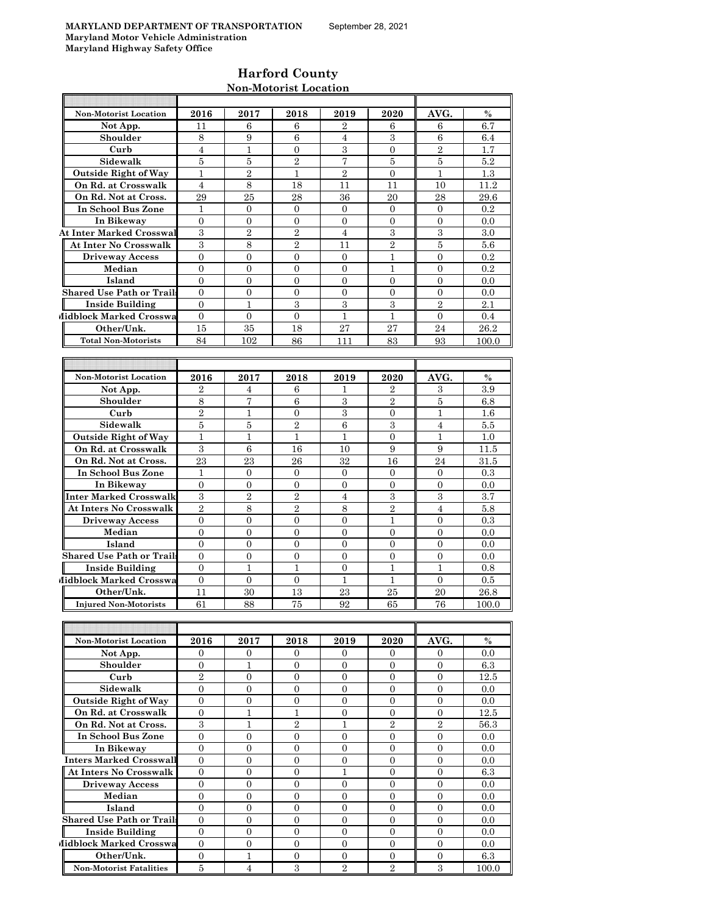## **Harford County Non-Motorist Location**

| <b>Non-Motorist Location</b>     | 2016                   | 2017                               | 2018                   | 2019                               | 2020                             | AVG.                   | $\%$        |
|----------------------------------|------------------------|------------------------------------|------------------------|------------------------------------|----------------------------------|------------------------|-------------|
| Not App.                         | 11                     | 6                                  | 6                      | $\overline{2}$                     | 6                                | 6                      | 6.7         |
| Shoulder                         | 8                      | 9                                  | 6                      | 4                                  | 3                                | 6                      | 6.4         |
| Curb                             | $\overline{4}$         | 1                                  | $\overline{0}$         | 3                                  | $\overline{0}$                   | $\overline{2}$         | 1.7         |
| Sidewalk                         | 5                      | 5                                  | $\overline{2}$         | $\overline{7}$                     | 5                                | 5                      | 5.2         |
| <b>Outside Right of Way</b>      | $\mathbf{1}$           | $\overline{2}$                     | 1                      | $\overline{2}$                     | $\Omega$                         | 1                      | 1.3         |
| On Rd. at Crosswalk              | $\overline{4}$         | 8                                  | 18                     | 11                                 | 11                               | 10                     | 11.2        |
| On Rd. Not at Cross.             | 29                     | 25                                 | 28                     | 36                                 | 20                               | 28                     | 29.6        |
| In School Bus Zone               | $\mathbf{1}$           | $\overline{0}$                     | $\overline{0}$         | $\overline{0}$                     | $\mathbf{0}$                     | $\overline{0}$         | 0.2         |
| In Bikeway                       | $\mathbf{0}$           | $\mathbf{0}$                       | $\mathbf{0}$           | $\mathbf{0}$                       | $\mathbf{0}$                     | $\theta$               | 0.0         |
| <b>At Inter Marked Crosswal</b>  | 3                      | $\overline{2}$                     | $\overline{2}$         | $\overline{4}$                     | 3                                | 3                      | 3.0         |
| At Inter No Crosswalk            | 3                      | 8                                  | $\overline{2}$         | 11                                 | $\overline{2}$                   | 5                      | 5.6         |
| <b>Driveway Access</b>           | $\overline{0}$         | $\overline{0}$                     | $\overline{0}$         | $\mathbf{0}$                       | 1                                | $\Omega$               | 0.2         |
| Median                           | $\overline{0}$         | $\overline{0}$                     | $\overline{0}$         | $\Omega$                           | 1                                | $\Omega$               | 0.2         |
| Island                           | $\Omega$               | $\Omega$                           | $\overline{0}$         | $\overline{0}$                     | $\mathbf{0}$                     | $\Omega$               | 0.0         |
| <b>Shared Use Path or Trails</b> | $\overline{0}$         | $\overline{0}$                     | $\overline{0}$         | $\overline{0}$                     | $\overline{0}$                   | $\overline{0}$         | 0.0         |
| <b>Inside Building</b>           | $\mathbf{0}$           | 1                                  | 3                      | 3                                  | 3                                | $\overline{2}$         | 2.1         |
| Midblock Marked Crosswa          | $\mathbf{0}$           | $\overline{0}$                     | $\mathbf{0}$           | $\mathbf{1}$                       | $\mathbf{1}$                     | $\overline{0}$         | 0.4         |
| Other/Unk.                       | 15                     | 35                                 | 18                     | 27                                 | 27                               | 24                     | 26.2        |
| <b>Total Non-Motorists</b>       | 84                     | 102                                | 86                     | 111                                | 83                               | 93                     | 100.0       |
|                                  |                        |                                    |                        |                                    |                                  |                        |             |
|                                  |                        |                                    |                        |                                    |                                  |                        |             |
| <b>Non-Motorist Location</b>     | 2016                   | 2017                               | 2018                   | 2019                               | 2020                             | AVG.                   | $\%$        |
| Not App.                         | $\overline{2}$         | 4                                  | 6                      | 1                                  | $\overline{2}$                   | 3                      | 3.9         |
| Shoulder                         | 8                      | 7                                  | 6                      | 3                                  | $\overline{2}$                   | 5                      | 6.8         |
| Curb                             | $\overline{2}$         | $\mathbf{1}$                       | $\overline{0}$         | 3                                  | $\overline{0}$                   | $\mathbf{1}$           | $1.6\,$     |
| Sidewalk                         | 5                      | 5                                  | $\overline{2}$         | $\,6$                              | 3                                | 4                      | 5.5         |
| <b>Outside Right of Way</b>      | $\mathbf{1}$           | $\mathbf{1}$                       | $\mathbf{1}$           | $\mathbf{1}$                       | $\overline{0}$                   | 1                      | 1.0         |
| On Rd. at Crosswalk              | 3                      | 6                                  | 16                     | 10                                 | 9                                | 9                      | 11.5        |
| On Rd. Not at Cross.             | 23                     | 23                                 | 26                     | 32                                 | 16                               | 24                     | 31.5        |
| In School Bus Zone               | $\mathbf{1}$           | $\overline{0}$                     | $\overline{0}$         | $\overline{0}$                     | $\overline{0}$                   | $\theta$               | 0.3         |
| In Bikeway                       | $\mathbf{0}$           | $\mathbf{0}$                       | $\overline{0}$         | $\mathbf{0}$                       | $\mathbf{0}$                     | $\theta$               | 0.0         |
| Inter Marked Crosswalk           | 3                      | $\overline{2}$                     | $\overline{2}$         | $\overline{4}$                     | 3                                | 3                      | 3.7         |
| At Inters No Crosswalk           | $\overline{2}$         | 8                                  | $\overline{2}$         | 8                                  | $\overline{2}$                   | $\overline{4}$         | 5.8         |
| <b>Driveway Access</b>           | $\mathbf{0}$           | $\boldsymbol{0}$                   | $\theta$               | $\mathbf{0}$                       | 1                                | $\mathbf{0}$           | $0.3\,$     |
| Median                           | $\overline{0}$         | $\mathbf{0}$                       | $\mathbf{0}$           | $\mathbf{0}$                       | $\mathbf{0}$                     | 0                      | 0.0         |
| Island                           | $\overline{0}$         | $\overline{0}$                     | $\overline{0}$         | $\overline{0}$                     | $\overline{0}$                   | $\mathbf{0}$           | 0.0         |
| Shared Use Path or Trails        | $\overline{0}$         | $\overline{0}$                     | $\overline{0}$         | $\overline{0}$                     | $\overline{0}$                   | $\overline{0}$         | 0.0         |
| Inside Building                  | $\overline{0}$         | $\mathbf{1}$                       | 1                      | $\overline{0}$                     | $\mathbf{1}$                     | $\mathbf{1}$           | 0.8         |
| Midblock Marked Crosswa          | $\overline{0}$         | $\mathbf{0}$                       | $\mathbf{0}$           | $\mathbf{1}$                       | 1                                | $\overline{0}$         | 0.5         |
| Other/Unk.                       | 11                     | 30                                 | 13                     | 23                                 | 25                               | 20                     | 26.8        |
| <b>Injured Non-Motorists</b>     | 61                     | 88                                 | 75                     | 92                                 | 65                               | 76                     | 100.0       |
|                                  |                        |                                    |                        |                                    |                                  |                        |             |
|                                  |                        |                                    |                        |                                    |                                  |                        |             |
| Non-Motorist Location            | 2016<br>$\overline{0}$ | 2017<br>$\mathbf{0}$               | 2018<br>$\overline{0}$ | 2019                               | 2020                             | AVG.<br>$\overline{0}$ | $\%$<br>0.0 |
| Not App.<br>Shoulder             | $\overline{0}$         | $\mathbf{1}$                       | $\overline{0}$         | $\overline{0}$<br>$\boldsymbol{0}$ | $\overline{0}$<br>$\overline{0}$ | 0                      | $6.3\,$     |
|                                  | $\overline{2}$         |                                    |                        | $\overline{0}$                     | $\overline{0}$                   | $\overline{0}$         | 12.5        |
| Curb<br>Sidewalk                 | $\boldsymbol{0}$       | $\boldsymbol{0}$<br>$\overline{0}$ | 0<br>$\mathbf{0}$      | $\mathbf{0}$                       | $\mathbf{0}$                     | $\overline{0}$         | 0.0         |
| <b>Outside Right of Way</b>      | $\boldsymbol{0}$       | $\boldsymbol{0}$                   | $\boldsymbol{0}$       | $\mathbf{0}$                       | $\boldsymbol{0}$                 | $\mathbf{0}$           | 0.0         |
| On Rd. at Crosswalk              | $\boldsymbol{0}$       | $\mathbf{1}$                       | $\mathbf{1}$           | $\boldsymbol{0}$                   | $\boldsymbol{0}$                 | $\overline{0}$         | 12.5        |
| On Rd. Not at Cross.             | $\boldsymbol{3}$       | $\mathbf{1}$                       | $\,2$                  | $\mathbf{1}$                       | $\,2$                            | $\,2$                  | 56.3        |
| In School Bus Zone               | $\overline{0}$         | $\mathbf{0}$                       | $\mathbf{0}$           | $\mathbf{0}$                       | $\boldsymbol{0}$                 | $\mathbf{0}$           | 0.0         |
| In Bikeway                       | $\overline{0}$         | $\overline{0}$                     | $\overline{0}$         | $\overline{0}$                     | $\overline{0}$                   | $\overline{0}$         | 0.0         |
| <b>Inters Marked Crosswall</b>   | $\mathbf{0}$           | $\boldsymbol{0}$                   | $\mathbf{0}$           | $\boldsymbol{0}$                   | $\overline{0}$                   | $\mathbf{0}$           | 0.0         |
| <b>At Inters No Crosswalk</b>    | $\overline{0}$         | $\overline{0}$                     | $\overline{0}$         | $\mathbf{1}$                       | $\mathbf{0}$                     | $\mathbf{0}$           | 6.3         |
| <b>Driveway Access</b>           | $\boldsymbol{0}$       | $\boldsymbol{0}$                   | $\boldsymbol{0}$       | $\mathbf{0}$                       | $\boldsymbol{0}$                 | $\mathbf{0}$           | 0.0         |
| Median                           | $\overline{0}$         | $\boldsymbol{0}$                   | $\overline{0}$         | $\boldsymbol{0}$                   | $\boldsymbol{0}$                 | $\mathbf{0}$           | 0.0         |
| Island                           | $\overline{0}$         | $\boldsymbol{0}$                   | $\mathbf{0}$           | $\mathbf{0}$                       | $\mathbf{0}$                     | $\overline{0}$         | 0.0         |
| <b>Shared Use Path or Trails</b> | $\overline{0}$         | $\overline{0}$                     | $\mathbf{0}$           | $\mathbf{0}$                       | $\mathbf{0}$                     | $\mathbf{0}$           | 0.0         |
| <b>Inside Building</b>           | $\overline{0}$         | $\boldsymbol{0}$                   | $\mathbf{0}$           | $\mathbf{0}$                       | $\boldsymbol{0}$                 | $\mathbf{0}$           | 0.0         |
| Midblock Marked Crosswa          | $\mathbf{0}$           | $\boldsymbol{0}$                   | $\mathbf{0}$           | $\boldsymbol{0}$                   | $\boldsymbol{0}$                 | $\mathbf{0}$           | 0.0         |
| Other/Unk.                       | $\overline{0}$         | $\mathbf{1}$                       | $\mathbf{0}$           | $\overline{0}$                     | $\overline{0}$                   | $\mathbf{0}$           | 6.3         |
| <b>Non-Motorist Fatalities</b>   | $5\phantom{.0}$        | $\overline{4}$                     | $\,3\,$                | 2                                  | 2                                | 3                      | 100.0       |
|                                  |                        |                                    |                        |                                    |                                  |                        |             |